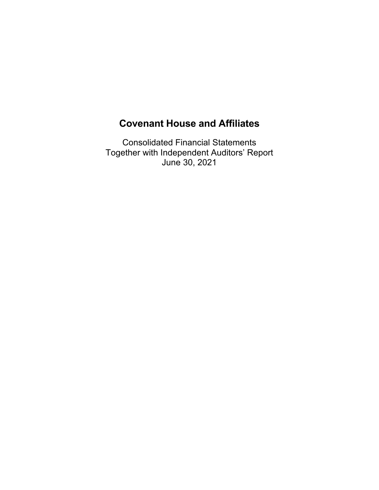Consolidated Financial Statements Together with Independent Auditors' Report June 30, 2021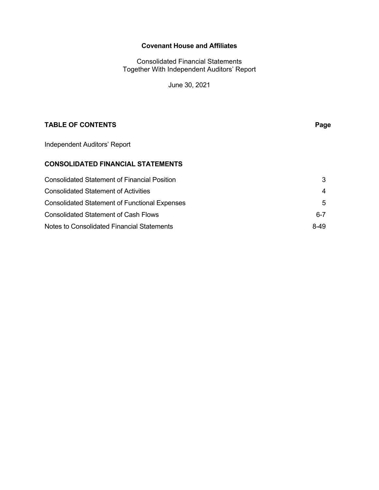Consolidated Financial Statements Together With Independent Auditors' Report

June 30, 2021

# **TABLE OF CONTENTS** Page

Independent Auditors' Report

# **CONSOLIDATED FINANCIAL STATEMENTS**

| <b>Consolidated Statement of Financial Position</b>  |      |
|------------------------------------------------------|------|
| Consolidated Statement of Activities                 | 4    |
| <b>Consolidated Statement of Functional Expenses</b> | 5    |
| <b>Consolidated Statement of Cash Flows</b>          | 6-7  |
| Notes to Consolidated Financial Statements           | 8-49 |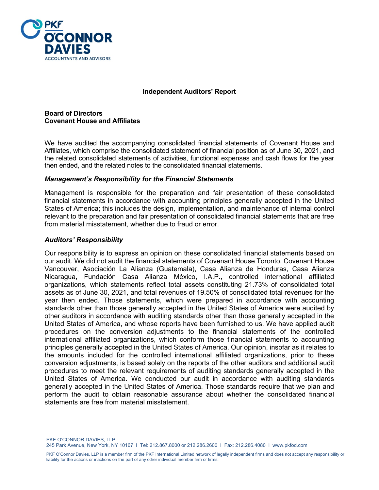

# **Independent Auditors' Report**

**Board of Directors Covenant House and Affiliates** 

We have audited the accompanying consolidated financial statements of Covenant House and Affiliates, which comprise the consolidated statement of financial position as of June 30, 2021, and the related consolidated statements of activities, functional expenses and cash flows for the year then ended, and the related notes to the consolidated financial statements.

#### *Management's Responsibility for the Financial Statements*

Management is responsible for the preparation and fair presentation of these consolidated financial statements in accordance with accounting principles generally accepted in the United States of America; this includes the design, implementation, and maintenance of internal control relevant to the preparation and fair presentation of consolidated financial statements that are free from material misstatement, whether due to fraud or error.

# *Auditors' Responsibility*

Our responsibility is to express an opinion on these consolidated financial statements based on our audit. We did not audit the financial statements of Covenant House Toronto, Covenant House Vancouver, Asociación La Alianza (Guatemala), Casa Alianza de Honduras, Casa Alianza Nicaragua, Fundación Casa Alianza México, I.A.P., controlled international affiliated organizations, which statements reflect total assets constituting 21.73% of consolidated total assets as of June 30, 2021, and total revenues of 19.50% of consolidated total revenues for the year then ended. Those statements, which were prepared in accordance with accounting standards other than those generally accepted in the United States of America were audited by other auditors in accordance with auditing standards other than those generally accepted in the United States of America, and whose reports have been furnished to us. We have applied audit procedures on the conversion adjustments to the financial statements of the controlled international affiliated organizations, which conform those financial statements to accounting principles generally accepted in the United States of America. Our opinion, insofar as it relates to the amounts included for the controlled international affiliated organizations, prior to these conversion adjustments, is based solely on the reports of the other auditors and additional audit procedures to meet the relevant requirements of auditing standards generally accepted in the United States of America. We conducted our audit in accordance with auditing standards generally accepted in the United States of America. Those standards require that we plan and perform the audit to obtain reasonable assurance about whether the consolidated financial statements are free from material misstatement.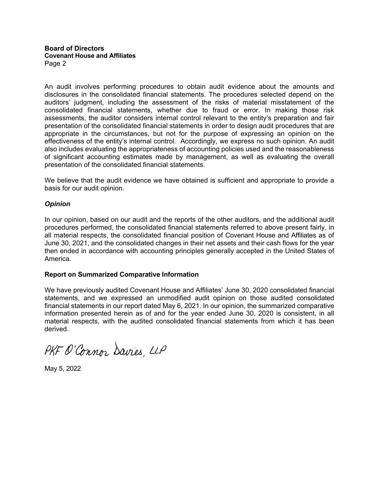#### **Board of Directors Covenant House and Affiliates**  Page 2

An audit involves performing procedures to obtain audit evidence about the amounts and disclosures in the consolidated financial statements. The procedures selected depend on the auditors' judgment, including the assessment of the risks of material misstatement of the consolidated financial statements, whether due to fraud or error. In making those risk assessments, the auditor considers internal control relevant to the entity's preparation and fair presentation of the consolidated financial statements in order to design audit procedures that are appropriate in the circumstances, but not for the purpose of expressing an opinion on the effectiveness of the entity's internal control. Accordingly, we express no such opinion. An audit also includes evaluating the appropriateness of accounting policies used and the reasonableness of significant accounting estimates made by management, as well as evaluating the overall presentation of the consolidated financial statements.

We believe that the audit evidence we have obtained is sufficient and appropriate to provide a basis for our audit opinion.

# *Opinion*

In our opinion, based on our audit and the reports of the other auditors, and the additional audit procedures performed, the consolidated financial statements referred to above present fairly, in all material respects, the consolidated financial position of Covenant House and Affiliates as of June 30, 2021, and the consolidated changes in their net assets and their cash flows for the year then ended in accordance with accounting principles generally accepted in the United States of America.

# **Report on Summarized Comparative Information**

We have previously audited Covenant House and Affiliates' June 30, 2020 consolidated financial statements, and we expressed an unmodified audit opinion on those audited consolidated financial statements in our report dated May 6, 2021. In our opinion, the summarized comparative information presented herein as of and for the year ended June 30, 2020 is consistent, in all material respects, with the audited consolidated financial statements from which it has been derived.

PKF O'Connor Davies LLP

May 5, 2022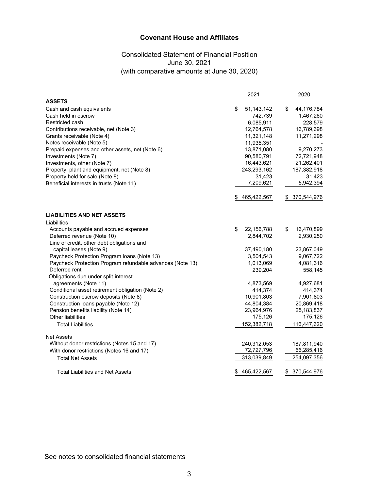# Consolidated Statement of Financial Position June 30, 2021 (with comparative amounts at June 30, 2020)

|                                                           | 2021               | 2020             |
|-----------------------------------------------------------|--------------------|------------------|
| <b>ASSETS</b>                                             |                    |                  |
| Cash and cash equivalents                                 | \$<br>51, 143, 142 | \$<br>44,176,784 |
| Cash held in escrow                                       | 742,739            | 1,467,260        |
| Restricted cash                                           | 6,085,911          | 228,579          |
| Contributions receivable, net (Note 3)                    | 12,764,578         | 16,789,698       |
| Grants receivable (Note 4)                                | 11,321,148         | 11,271,298       |
| Notes receivable (Note 5)                                 | 11,935,351         |                  |
| Prepaid expenses and other assets, net (Note 6)           | 13,871,080         | 9,270,273        |
| Investments (Note 7)                                      | 90,580,791         | 72,721,948       |
| Investments, other (Note 7)                               | 16,443,621         | 21,262,401       |
| Property, plant and equipment, net (Note 8)               | 243,293,162        | 187,382,918      |
| Property held for sale (Note 8)                           | 31,423             | 31,423           |
| Beneficial interests in trusts (Note 11)                  | 7,209,621          | 5,942,394        |
|                                                           | 465,422,567        | \$ 370,544,976   |
| <b>LIABILITIES AND NET ASSETS</b>                         |                    |                  |
| Liabilities                                               |                    |                  |
| Accounts payable and accrued expenses                     | \$<br>22,156,788   | \$<br>16,470,899 |
| Deferred revenue (Note 10)                                | 2,844,702          | 2,930,250        |
| Line of credit, other debt obligations and                |                    |                  |
| capital leases (Note 9)                                   | 37,490,180         | 23,867,049       |
| Paycheck Protection Program Ioans (Note 13)               | 3,504,543          | 9,067,722        |
| Paycheck Protection Program refundable advances (Note 13) | 1,013,069          | 4,081,316        |
| Deferred rent                                             | 239,204            | 558,145          |
| Obligations due under split-interest                      |                    |                  |
| agreements (Note 11)                                      | 4,873,569          | 4,927,681        |
| Conditional asset retirement obligation (Note 2)          | 414,374            | 414,374          |
| Construction escrow deposits (Note 8)                     | 10,901,803         | 7,901,803        |
| Construction loans payable (Note 12)                      | 44,804,384         | 20,869,418       |
| Pension benefits liability (Note 14)                      | 23,964,976         | 25, 183, 837     |
| Other liabilities                                         | 175,126            | 175,126          |
| <b>Total Liabilities</b>                                  | 152,382,718        | 116,447,620      |
| <b>Net Assets</b>                                         |                    |                  |
| Without donor restrictions (Notes 15 and 17)              | 240,312,053        | 187,811,940      |
| With donor restrictions (Notes 16 and 17)                 | 72,727,796         | 66,285,416       |
| <b>Total Net Assets</b>                                   | 313,039,849        | 254,097,356      |
| <b>Total Liabilities and Net Assets</b>                   | 465,422,567<br>S   | 370,544,976<br>S |

See notes to consolidated financial statements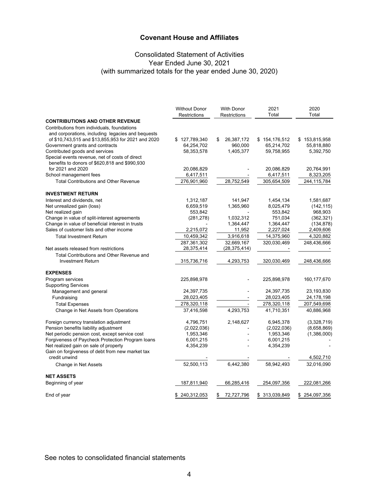# Consolidated Statement of Activities Year Ended June 30, 2021 (with summarized totals for the year ended June 30, 2020)

|                                                                                                 | <b>Without Donor</b><br>Restrictions | <b>With Donor</b><br>Restrictions | 2021<br>Total | 2020<br>Total |
|-------------------------------------------------------------------------------------------------|--------------------------------------|-----------------------------------|---------------|---------------|
| <b>CONTRIBUTIONS AND OTHER REVENUE</b>                                                          |                                      |                                   |               |               |
| Contributions from individuals, foundations                                                     |                                      |                                   |               |               |
| and corporations, including legacies and bequests                                               |                                      |                                   |               |               |
| of \$10,743,515 and \$13,855,953 for 2021 and 2020                                              | \$127,789,340                        | 26,387,172<br>\$                  | \$154,176,512 | \$153,815,958 |
| Government grants and contracts                                                                 | 64,254,702                           | 960,000                           | 65,214,702    | 55,818,880    |
| Contributed goods and services                                                                  | 58,353,578                           | 1,405,377                         | 59,758,955    | 5,392,750     |
| Special events revenue, net of costs of direct<br>benefits to donors of \$620,818 and \$990,930 |                                      |                                   |               |               |
| for 2021 and 2020                                                                               | 20,086,829                           |                                   | 20,086,829    | 20,764,991    |
| School management fees                                                                          | 6,417,511                            |                                   | 6,417,511     | 8,323,205     |
| <b>Total Contributions and Other Revenue</b>                                                    | 276,901,960                          | 28,752,549                        | 305,654,509   | 244,115,784   |
|                                                                                                 |                                      |                                   |               |               |
| <b>INVESTMENT RETURN</b>                                                                        |                                      |                                   |               |               |
| Interest and dividends, net                                                                     | 1,312,187                            | 141,947                           | 1,454,134     | 1,581,687     |
| Net unrealized gain (loss)                                                                      | 6,659,519                            | 1,365,960                         | 8,025,479     | (142, 115)    |
| Net realized gain                                                                               | 553,842                              |                                   | 553,842       | 968,903       |
| Change in value of split-interest agreements                                                    | (281, 278)                           | 1,032,312                         | 751,034       | (362, 321)    |
| Change in value of beneficial interest in trusts                                                |                                      | 1,364,447                         | 1,364,447     | (134, 878)    |
| Sales of customer lists and other income                                                        | 2,215,072                            | 11,952                            | 2,227,024     | 2,409,606     |
| <b>Total Investment Return</b>                                                                  | 10,459,342                           | 3,916,618                         | 14,375,960    | 4,320,882     |
|                                                                                                 | 287,361,302                          | 32,669,167                        | 320,030,469   | 248,436,666   |
| Net assets released from restrictions                                                           | 28,375,414                           | (28, 375, 414)                    |               |               |
| Total Contributions and Other Revenue and                                                       |                                      |                                   |               |               |
| <b>Investment Return</b>                                                                        | 315,736,716                          | 4,293,753                         | 320,030,469   | 248,436,666   |
| <b>EXPENSES</b>                                                                                 |                                      |                                   |               |               |
| Program services                                                                                | 225,898,978                          |                                   | 225,898,978   | 160, 177, 670 |
| <b>Supporting Services</b>                                                                      |                                      |                                   |               |               |
| Management and general                                                                          | 24,397,735                           |                                   | 24,397,735    | 23,193,830    |
| Fundraising                                                                                     | 28,023,405                           |                                   | 28,023,405    | 24,178,198    |
| <b>Total Expenses</b>                                                                           | 278,320,118                          |                                   | 278,320,118   | 207,549,698   |
| Change in Net Assets from Operations                                                            | 37,416,598                           | 4,293,753                         | 41,710,351    | 40,886,968    |
|                                                                                                 |                                      |                                   |               |               |
| Foreign currency translation adjustment                                                         | 4,796,751                            | 2,148,627                         | 6,945,378     | (3,328,719)   |
| Pension benefits liability adjustment                                                           | (2,022,036)                          |                                   | (2,022,036)   | (8,658,869)   |
| Net periodic pension cost, except service cost                                                  | 1,953,346                            |                                   | 1,953,346     | (1,386,000)   |
| Forgiveness of Paycheck Protection Program loans                                                | 6,001,215                            |                                   | 6,001,215     |               |
| Net realized gain on sale of property                                                           | 4,354,239                            |                                   | 4,354,239     |               |
| Gain on forgiveness of debt from new market tax<br>credit unwind                                |                                      |                                   |               | 4,502,710     |
|                                                                                                 | 52,500,113                           | 6,442,380                         | 58,942,493    | 32,016,090    |
| Change in Net Assets                                                                            |                                      |                                   |               |               |
| <b>NET ASSETS</b>                                                                               |                                      |                                   |               |               |
| Beginning of year                                                                               | 187,811,940                          | 66,285,416                        | 254,097,356   | 222,081,266   |
| End of year                                                                                     | \$240,312,053                        | 72,727,796<br>\$                  | \$313,039,849 | \$254,097,356 |

See notes to consolidated financial statements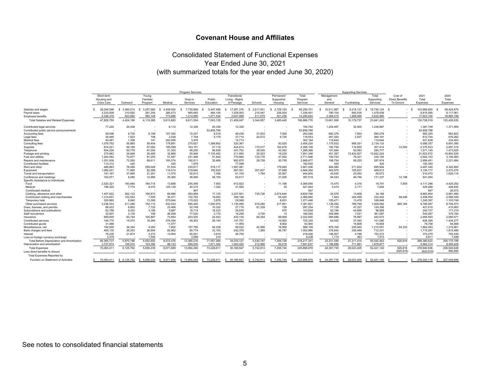# Consolidated Statement of Functional Expenses Year Ended June 30, 2021 (with summarized totals for the year ended June 30, 2020)

|                                                                        | Program Services   |              |                 |              |                 |                      |                 | <b>Supporting Services</b> |                   |                       |            |                  |            |                        |                         |               |
|------------------------------------------------------------------------|--------------------|--------------|-----------------|--------------|-----------------|----------------------|-----------------|----------------------------|-------------------|-----------------------|------------|------------------|------------|------------------------|-------------------------|---------------|
|                                                                        | Short-term         |              | Young           |              |                 |                      | Transitional    |                            | Permanent         | Total                 | Management |                  | Total      | Cost of                | 2021                    | 2020          |
|                                                                        | Housing and        |              | Families        |              | Drop-in         | Public               | Living - Rights |                            | Supportive        | Program               | and        |                  | Supporting | <b>Direct Benefits</b> | Total                   | Total         |
|                                                                        | <b>Crisis Care</b> | Outreach     | Program         | Medical      | Services        | Education            | of Passage      | Schools                    | Housing           | Services              | General    | Fundraising      | Services   | To Donors              | Expenses                | Expenses      |
| Salaries and wages                                                     | 38.246.596         | 3.490.014    | 3.257.982<br>-S | 4.459.524    | 7.730.669<br>.s | 5.447.456<br>- \$    | 17.281.376<br>s | 2.617.931<br>-S            | 2.728.153<br>- \$ | 85.259.701            | 10.511.987 | 8.218.137        | 18,730.124 | - S                    | 103.989.825<br><b>S</b> | 98.424.675    |
| Pavroll taxes                                                          | 3.233.838          | 310.592      | 281.254         | 380.473      | 665.645         | 484.145              | 1.529.003       | 215.447                    | 236.054           | 7.336.451             | 785.104    | 693.535          | 1.478.639  |                        | 8.815.090               | 8.117.06      |
| Employee benefits                                                      | 6,346,316          | 623,584      | 580,129         | 773,886      | 1,214,690       | 1,071,534            | 2,647,668       | 511.579                    | 521,238           | 14,290,624            | 2,364,415  | 1,268,065        | 3,632,480  |                        | 17,923,104              | 16,885,199    |
| <b>Total Salaries and Related Expenses</b>                             | 47,826,750         | 4,424,190    | 4,119,365       | 5,613,883    | 9,611,004       | 7,003,135            | 21,458,047      | 3,344,957                  | 3,485,445         | 106,886,776           | 13,661,506 | 10,179,737       | 23,841,243 |                        | 130,728,019             | 123,426,935   |
| Contributed legal services<br>Contributed public service announcements | 77,224             | 20,438       |                 | 8,112        | 12,326          | 20.336<br>53.858.799 | 12,326          |                            |                   | 150.762<br>53.858.799 | 1,204,487  | 32,500           | 1,236,987  |                        | 1.387.749<br>53.858.799 | 1.371.959     |
| Accounting fees                                                        | 59,546             | 6,735        | 8,159           | 107,392      | 15,257          | 8,518                | 49,436          | 31,003                     | 7,000             | 293,046               | 682,376    | 7,903            | 690,279    |                        | 983,325                 | 963,822       |
| Legal fees                                                             | 36.465             | 1.923        | 748             | 2.028        | 7.704           | 5.179                | 37.714          | 20,072                     | 6.720             | 118,553               | 491.354    | 2.837            | 494.191    |                        | 612.744                 | 676.262       |
| Medical fees                                                           | 40.461             | 1,309        | 141             | 242,095      | 3.475           |                      | 14.713          |                            |                   | 302,194               | 119,644    |                  | 119,644    |                        | 421,838                 | 234,403       |
| Consulting fees                                                        | 1,079,752          | 55,860       | 55.404          | 178,891      | 270,627         | 1,399,803            | 320,367         |                            | 93,520            | 3,454,224             | 1,175,832  | 958,301          | 2,134,133  |                        | 5,588,357               | 6,691,090     |
| Supplies                                                               | 874.221            | 49.189       | 57.082          | 185.599      | 163.151         | 27.118               | 424.814         | 172.017                    | 102.918           | 2.056.109             | 192.759    | 114.655          | 307.414    | 12,000                 | 2.375.523               | 2.897.319     |
| Telephone                                                              | 504,226            | 50,778       | 91,054          | 51,353       | 99,200          | 66,638               | 341,752         | 38,005                     | 43,362            | 1,286,368             | 191,684    | 93,093           | 284,777    |                        | 1,571,145               | 1,473,525     |
| Postage and printing                                                   | 275.863            | 24.646       | 20.465          | 32.868       | 55,946          | 7.135.452            | 211.850         | 25.023                     | 19.235            | 7.801.348             | 401.397    | 13,420,827       | 13.822.224 |                        | 21,623,572              | 16,803,528    |
| Fuel and utilities                                                     | 1,263,062          | 70,877       | 91,255          | 51,587       | 231.499         | 51.644               | 770,684         | 133,778                    | 47,562            | 2.711.948             | 150,724    | 79.431           | 230,155    |                        | 2,942,103               | 3,194,083     |
| Repairs and maintenance                                                | 1,251,006          | 72,050       | 69,611          | 105,374      | 192,611         | 35,468               | 882,870         | 28,728                     | 30,759            | 2,668,477             | 198,754    | 89,220           | 287,974    |                        | 2,956,451               | 2,221,684     |
| <b>Contributed facilities</b>                                          | 113,312            | 420          |                 | 420          | 1.679           |                      | 77.099          |                            |                   | 192.930               | 420        |                  | 420        |                        | 193,350                 |               |
| Rent and other                                                         | 486.863            | 78,556       | 259.028         | 51.834       | 230.617         | 518.117              | 1.997.481       |                            | 178.940           | 3.801.436             | 484.080    | 211.824          | 695.904    |                        | 4.497.340               | 4.342.800     |
| Equipment                                                              | 1.060.431          | 71.895       | 62.388          | 116,014      | 219.640         | 150.830              | 587.551         | 357.827                    | 37.688            | 2.664.264             | 383.976    | 105.937          | 489.913    |                        | 3.154.177               | 2.470.270     |
| Travel and transportation                                              | 191,167            | 37,695       | 21,291          | 11,075       | 92,812          | 7,306                | 61.103          | 1,784                      | 20,567            | 444,800               | 45,620     | 20,052           | 65,672     |                        | 510,472                 | 1,629,116     |
| Conference and meetings                                                | 162,071            | 8,280        | 12.990          | 25.365       | 36,060          | 48.100               | 83.617          |                            | 21,036            | 397.519               | 84.543     | 46.794           | 131.337    | 12.198                 | 541,054                 |               |
| Specific Assistance to Individuals                                     |                    |              |                 |              |                 |                      |                 |                            |                   |                       |            |                  |            |                        |                         |               |
| Food                                                                   | 2.520.321          | 193,484      | 184.714         | 13,888       | 245,369         | 7.953                | 912.923         |                            | 11,198            | 4.089.850             | 15.475     | 4,316            | 19.791     | 7.655                  | 4,117,296               | 4,425,252     |
| Medical                                                                | 196,320            | 7.774        | 9.372           | 125.129      | 40.315          | 1.322                | 41.582          |                            | 30                | 421.844               | 5.474      | 2.171            | 7.645      |                        | 429.489                 | 446,830       |
| Contributed medical                                                    |                    |              |                 |              | 847             |                      |                 |                            |                   | 847                   |            |                  |            |                        | 847                     | 26,072        |
| Clothing, allowance and other                                          | 1,407,922          | 262,133      | 150,873         | 69.986       | 283,858         | 17,125               | 3,227,501       | 735,726                    | 2.674.644         | 8.829.768             | 20.578     | 13,608           | 34.186     |                        | 8.863.954               | 5,981,090     |
| Contributed clothing and merchandise                                   | 1,314,657          | 122,553      | 7,555           | 35.471       | 152,793         | 19.062               | 359,148         |                            | 55,425            | 2.066.664             | 7.943      | 324,499          | 332,442    | 59.448                 | 2,458,554               | 2,589,348     |
| Temporary help                                                         | 320,960            | 9.840        | 13,306          | 570,044      | 115.022         | 3.876                | 29.569          |                            | 8,831             | 1.071.448             | 155.471    | 13,478           | 168.949    |                        | 1,240,397               | 1,103,749     |
| Other purchased services                                               | 3,236,533          | 211,285      | 154.115         | 432,523      | 590.440         | 1.000.970            | 1.130.090       | 418.284                    | 217,561           | 7.391.801             | 1,138,292  | 789.790          | 1.928.082  | 465.184                | 9,785,067               | 8,794,573     |
| Dues, licenses, and permits                                            | 86.423             | 6.853        | 7,722           | 23.406       | 52.748          | 10.332               | 27,716          | 81,328                     | 726               | 297.254               | 77,129     | 47,227           | 124.356    |                        | 421.610                 | 415,983       |
| Subscriptions and publications                                         | 62,789             | 6,203        | 3.166           | 5.887        | 18.714          | 16,233               | 29.976          |                            | 870               | 143.838               | 52.194     | 44,695           | 96.889     |                        | 240,727                 | 171.219       |
| Staff recruitment                                                      | 32,907             | 3.135        | 708             | 46,059       | 77,020          | 2.170                | 18,256          | 3.730                      | 15                | 184.000               | 354,066    | 7,021            | 361.087    |                        | 545,087                 | 379,184       |
| Insurance                                                              | 959.000            | 63.744       | 100,887         | 73.954       | 203,520         | 24.423               | 433.130         | 94.354                     | 69.908            | 2.022.920             | 365.686    | 76,987           | 442.673    |                        | 2,465,593               | 2,080,571     |
| Contributed services                                                   | 184.775            | 14,072       | 16,394          | 276,394      | 49,303          | 26,140               | 147.757         |                            | 10,500            | 725,335               | 64,020     | 37,040           | 101.060    |                        | 826,395                 | 1,434,277     |
| Contributed goods                                                      | 31.466             |              |                 | 11,577       |                 |                      | 11.955          |                            | 8.902             | 63,900                |            | 15,808           | 15,808     |                        | 79.708                  | 94,868        |
| Miscellaneous, net                                                     | 164,500            | 34,344       | 4,283           | 7.802        | 157.785         | 64,238               | 96,022          | 42,566                     | 16,569            | 588.109               | 979.106    | 230,945          | 1,210,051  | 64.333                 | 1,862,493               | 1,218,96      |
| Bank charges and fees                                                  | 465.130            | 38.253       | 26.954          | 82.962       | 85.774          | 23.153               | 242.378         | 1.565                      | 36.797            | 1.002.966             | 376.842    | 335.489          | 712.331    |                        | 1.715.297               | 1.815.488     |
| Interest                                                               | 76,235             | 21,674       | 2.273           | 13,504       | 65,001          | 3.619                | 36,700          |                            |                   | 219,006               | 148,507    | 4.766            | 153.273    |                        | 372,279                 | 793,439       |
| Loss on foreign currency exchange                                      | 3.379              |              | 1.550           |              | 3.099           | 210                  |                 |                            |                   | 8.238                 | 1.110      | 463              | 1.573      |                        | 9.811                   | 7.499         |
| Total Before Depreciation and Amortization                             | 66,365,737         | 5.970.188    | 5,552,853       | 8.572.476    | 13,385,216      | 71.557.269           | 34.076.127      | 5.530.747                  | 7,206,728         | 218,217,341           | 23,231,049 | 27.311.414       | 50,542,463 | 620.818                | 269,380,622             | 200, 175, 199 |
| Depreciation and amortization                                          | 3,727,674          | 155,574      | 103,382         | 99,133       | 569,030         | 1,671,342            | 1,093,420       | 212,066                    | 50,016            | 7.681.637             | 1,166,686  | 711.991          | 1,878,677  |                        | 9.560.314               | 8.365.429     |
| <b>Total Expenses</b>                                                  | 70,093,41          | 6,125,762    | 5,656,235       | 8,671,609    | 13,954,246      | 73,228,611           | 35, 169, 547    | 5,742,813                  | 7,256,744         | 225,898,978           | 24,397,735 | 28,023,405       | 52,421,140 | 620.818                | 278,940,936             | 208,540,628   |
| Less direct benefits to donors                                         |                    |              |                 |              |                 |                      |                 |                            |                   |                       |            |                  |            | (620, 818)             | (620.818)               | 990.930       |
| <b>Total Expenses Reported by</b>                                      |                    |              |                 |              |                 |                      |                 |                            |                   |                       |            |                  |            |                        |                         |               |
| Function on Statement of Activities                                    | 70.093.411         | \$ 6,125,762 | 5.656.235<br>-S | \$ 8.671.609 | \$13,954,246    | 73.228.611<br>- \$   | 35,169,547      | 5,742,813<br>\$.           | 7,256,744<br>\$.  | 225.898.978           | 24.397.735 | 28.023.405<br>-5 | 52.421.140 |                        | 278.320.118             | 207.549.698   |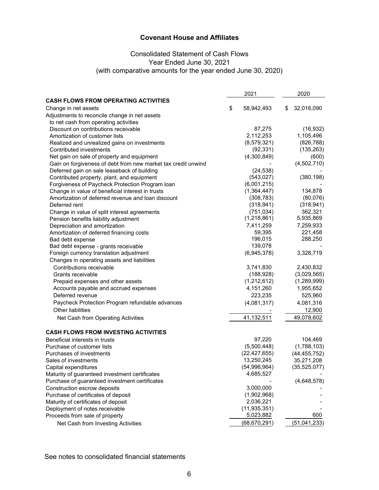# Consolidated Statement of Cash Flows Year Ended June 30, 2021 (with comparative amounts for the year ended June 30, 2020)

|                                                               | 2021             | 2020             |
|---------------------------------------------------------------|------------------|------------------|
| <b>CASH FLOWS FROM OPERATING ACTIVITIES</b>                   |                  |                  |
| Change in net assets                                          | \$<br>58,942,493 | \$<br>32,016,090 |
| Adjustments to reconcile change in net assets                 |                  |                  |
| to net cash from operating activities                         |                  |                  |
| Discount on contributions receivable                          | 87,275           | (16, 932)        |
| Amortization of customer lists                                | 2,112,253        | 1,105,496        |
| Realized and unrealized gains on investments                  | (8,579,321)      | (826, 788)       |
| Contributed investments                                       | (92, 331)        | (135, 263)       |
| Net gain on sale of property and equipment                    | (4,300,849)      | (600)            |
| Gain on forgiveness of debt from new market tax credit unwind |                  | (4,502,710)      |
| Deferred gain on sale leaseback of building                   | (24, 538)        |                  |
| Contributed property, plant, and equipment                    | (543, 027)       | (380, 198)       |
| Forgiveness of Paycheck Protection Program loan               | (6,001,215)      |                  |
| Change in value of beneficial interest in trusts              | (1, 364, 447)    | 134,878          |
| Amortization of deferred revenue and loan discount            | (308, 783)       | (80,076)         |
| Deferred rent                                                 | (318, 941)       | (318, 941)       |
| Change in value of split interest agreements                  | (751, 034)       | 362,321          |
| Pension benefits liability adjustment                         | (1,218,861)      | 5,935,869        |
| Depreciation and amortization                                 | 7,411,259        | 7,259,933        |
| Amortization of deferred financing costs                      | 59,395           | 221,458          |
| Bad debt expense                                              | 196,015          | 288,250          |
| Bad debt expense - grants receivable                          | 139,078          |                  |
| Foreign currency translation adjustment                       | (6,945,378)      | 3,328,719        |
| Changes in operating assets and liabilities                   |                  |                  |
| Contributions receivable                                      | 3,741,830        | 2,430,832        |
| Grants receivable                                             | (188, 928)       | (3,029,565)      |
| Prepaid expenses and other assets                             | (1,212,612)      | (1,289,999)      |
| Accounts payable and accrued expenses                         | 4,151,260        | 1,955,652        |
| Deferred revenue                                              | 223,235          | 525,960          |
| Paycheck Protection Program refundable advances               | (4,081,317)      | 4,081,316        |
| Other liabilities                                             |                  | 12,900           |
| Net Cash from Operating Activities                            | 41,132,511       | 49,078,602       |
|                                                               |                  |                  |
| <b>CASH FLOWS FROM INVESTING ACTIVITIES</b>                   |                  |                  |
| Beneficial interests in trusts                                | 97,220           | 104,469          |
| Purchase of customer lists                                    | (5,500,448)      | (1,788,103)      |
| Purchases of investments                                      | (22, 427, 655)   | (44, 455, 752)   |
| Sales of investments                                          | 13,250,245       | 35,271,208       |
| Capital expenditures                                          | (54,996,964)     | (35, 525, 077)   |
| Maturity of guaranteed investment certificates                | 4,685,527        |                  |
| Purchase of guaranteed investment certificates                |                  | (4,648,578)      |
| Construction escrow deposits                                  | 3,000,000        |                  |
| Purchase of certificates of deposit                           | (1,902,968)      |                  |
| Maturity of certificates of deposit                           | 2,036,221        |                  |
| Deployment of notes receivable                                | (11, 935, 351)   |                  |
| Proceeds from sale of property                                | 5,023,882        | 600              |
| Net Cash from Investing Activities                            | (68, 670, 291)   | (51,041,233)     |

See notes to consolidated financial statements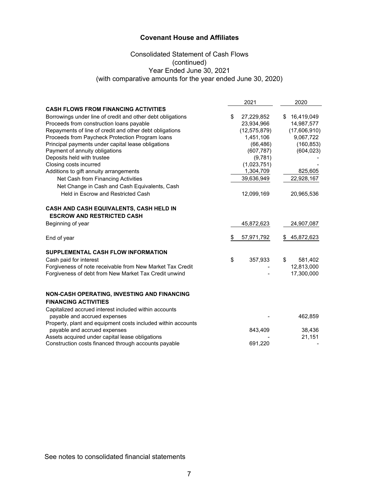# Consolidated Statement of Cash Flows (continued) Year Ended June 30, 2021 (with comparative amounts for the year ended June 30, 2020)

|                                                                                              | 2021             | 2020             |
|----------------------------------------------------------------------------------------------|------------------|------------------|
| <b>CASH FLOWS FROM FINANCING ACTIVITIES</b>                                                  |                  |                  |
| Borrowings under line of credit and other debt obligations                                   | \$<br>27,229,852 | \$16,419,049     |
| Proceeds from construction loans payable                                                     | 23,934,966       | 14,987,577       |
| Repayments of line of credit and other debt obligations                                      | (12, 575, 879)   | (17,606,910)     |
| Proceeds from Paycheck Protection Program loans                                              | 1,451,106        | 9,067,722        |
| Principal payments under capital lease obligations                                           | (66, 486)        | (160, 853)       |
| Payment of annuity obligations                                                               | (607, 787)       | (604, 023)       |
| Deposits held with trustee                                                                   | (9,781)          |                  |
| Closing costs incurred                                                                       | (1,023,751)      |                  |
| Additions to gift annuity arrangements                                                       | 1,304,709        | 825,605          |
| Net Cash from Financing Activities                                                           | 39,636,949       | 22,928,167       |
| Net Change in Cash and Cash Equivalents, Cash                                                |                  |                  |
| Held in Escrow and Restricted Cash                                                           | 12,099,169       | 20,965,536       |
| CASH AND CASH EQUIVALENTS, CASH HELD IN                                                      |                  |                  |
| <b>ESCROW AND RESTRICTED CASH</b>                                                            |                  |                  |
| Beginning of year                                                                            | 45,872,623       | 24,907,087       |
| End of year                                                                                  | \$<br>57,971,792 | \$<br>45,872,623 |
| SUPPLEMENTAL CASH FLOW INFORMATION                                                           |                  |                  |
| Cash paid for interest                                                                       | \$<br>357,933    | \$<br>581,402    |
| Forgiveness of note receivable from New Market Tax Credit                                    |                  | 12,813,000       |
| Forgiveness of debt from New Market Tax Credit unwind                                        |                  | 17,300,000       |
| NON-CASH OPERATING, INVESTING AND FINANCING                                                  |                  |                  |
| <b>FINANCING ACTIVITIES</b>                                                                  |                  |                  |
|                                                                                              |                  |                  |
| Capitalized accrued interest included within accounts                                        |                  | 462,859          |
| payable and accrued expenses<br>Property, plant and equipment costs included within accounts |                  |                  |
|                                                                                              |                  | 38,436           |
| payable and accrued expenses<br>Assets acquired under capital lease obligations              | 843,409          | 21,151           |
| Construction costs financed through accounts payable                                         | 691,220          |                  |
|                                                                                              |                  |                  |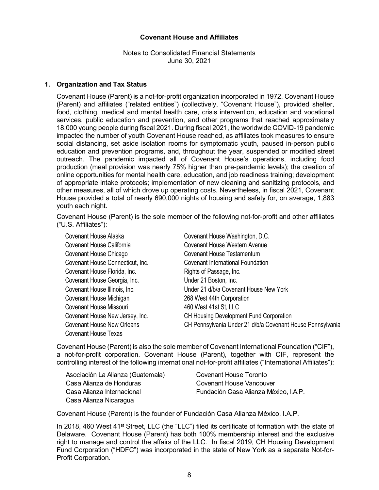Notes to Consolidated Financial Statements June 30, 2021

#### **1. Organization and Tax Status**

Covenant House (Parent) is a not-for-profit organization incorporated in 1972. Covenant House (Parent) and affiliates ("related entities") (collectively, "Covenant House"), provided shelter, food, clothing, medical and mental health care, crisis intervention, education and vocational services, public education and prevention, and other programs that reached approximately 18,000 young people during fiscal 2021. During fiscal 2021, the worldwide COVID-19 pandemic impacted the number of youth Covenant House reached, as affiliates took measures to ensure social distancing, set aside isolation rooms for symptomatic youth, paused in-person public education and prevention programs, and, throughout the year, suspended or modified street outreach. The pandemic impacted all of Covenant House's operations, including food production (meal provision was nearly 75% higher than pre-pandemic levels); the creation of online opportunities for mental health care, education, and job readiness training; development of appropriate intake protocols; implementation of new cleaning and sanitizing protocols, and other measures, all of which drove up operating costs. Nevertheless, in fiscal 2021, Covenant House provided a total of nearly 690,000 nights of housing and safety for, on average, 1,883 youth each night.

Covenant House (Parent) is the sole member of the following not-for-profit and other affiliates ("U.S. Affiliates"):

| <b>Covenant House Alaska</b>      | Covenant House Washington, D.C.                            |
|-----------------------------------|------------------------------------------------------------|
| Covenant House California         | <b>Covenant House Western Avenue</b>                       |
| Covenant House Chicago            | Covenant House Testamentum                                 |
| Covenant House Connecticut, Inc.  | <b>Covenant International Foundation</b>                   |
| Covenant House Florida, Inc.      | Rights of Passage, Inc.                                    |
| Covenant House Georgia, Inc.      | Under 21 Boston, Inc.                                      |
| Covenant House Illinois, Inc.     | Under 21 d/b/a Covenant House New York                     |
| Covenant House Michigan           | 268 West 44th Corporation                                  |
| Covenant House Missouri           | 460 West 41st St, LLC                                      |
| Covenant House New Jersey, Inc.   | <b>CH Housing Development Fund Corporation</b>             |
| <b>Covenant House New Orleans</b> | CH Pennsylvania Under 21 d/b/a Covenant House Pennsylvania |
| Covenant House Texas              |                                                            |

Covenant House (Parent) is also the sole member of Covenant International Foundation ("CIF"), a not-for-profit corporation. Covenant House (Parent), together with CIF, represent the controlling interest of the following international not-for-profit affiliates ("International Affiliates"):

| Asociación La Alianza (Guatemala) | Covenant House Toronto                |
|-----------------------------------|---------------------------------------|
| Casa Alianza de Honduras          | Covenant House Vancouver              |
| Casa Alianza Internacional        | Fundación Casa Alianza México, I.A.P. |
| Casa Alianza Nicaragua            |                                       |

Covenant House (Parent) is the founder of Fundación Casa Alianza México, I.A.P.

In 2018, 460 West 41<sup>st</sup> Street, LLC (the "LLC") filed its certificate of formation with the state of Delaware. Covenant House (Parent) has both 100% membership interest and the exclusive right to manage and control the affairs of the LLC. In fiscal 2019, CH Housing Development Fund Corporation ("HDFC") was incorporated in the state of New York as a separate Not-for-Profit Corporation.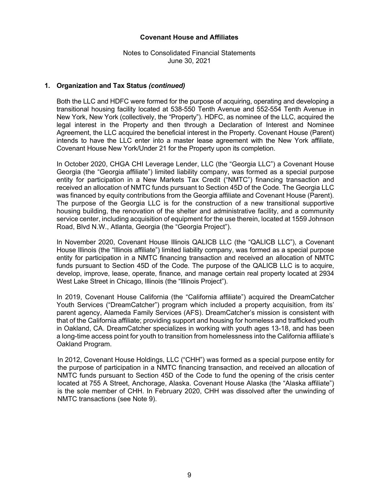Notes to Consolidated Financial Statements June 30, 2021

### **1. Organization and Tax Status** *(continued)*

Both the LLC and HDFC were formed for the purpose of acquiring, operating and developing a transitional housing facility located at 538-550 Tenth Avenue and 552-554 Tenth Avenue in New York, New York (collectively, the "Property"). HDFC, as nominee of the LLC, acquired the legal interest in the Property and then through a Declaration of Interest and Nominee Agreement, the LLC acquired the beneficial interest in the Property. Covenant House (Parent) intends to have the LLC enter into a master lease agreement with the New York affiliate, Covenant House New York/Under 21 for the Property upon its completion.

In October 2020, CHGA CHI Leverage Lender, LLC (the "Georgia LLC") a Covenant House Georgia (the "Georgia affiliate") limited liability company, was formed as a special purpose entity for participation in a New Markets Tax Credit ("NMTC") financing transaction and received an allocation of NMTC funds pursuant to Section 45D of the Code. The Georgia LLC was financed by equity contributions from the Georgia affiliate and Covenant House (Parent). The purpose of the Georgia LLC is for the construction of a new transitional supportive housing building, the renovation of the shelter and administrative facility, and a community service center, including acquisition of equipment for the use therein, located at 1559 Johnson Road, Blvd N.W., Atlanta, Georgia (the "Georgia Project").

In November 2020, Covenant House Illinois QALICB LLC (the "QALICB LLC"), a Covenant House Illinois (the "Illinois affiliate") limited liability company, was formed as a special purpose entity for participation in a NMTC financing transaction and received an allocation of NMTC funds pursuant to Section 45D of the Code. The purpose of the QALICB LLC is to acquire, develop, improve, lease, operate, finance, and manage certain real property located at 2934 West Lake Street in Chicago, Illinois (the "Illinois Project").

In 2019, Covenant House California (the "California affiliate") acquired the DreamCatcher Youth Services ("DreamCatcher") program which included a property acquisition, from its' parent agency, Alameda Family Services (AFS). DreamCatcher's mission is consistent with that of the California affiliate; providing support and housing for homeless and trafficked youth in Oakland, CA. DreamCatcher specializes in working with youth ages 13-18, and has been a long-time access point for youth to transition from homelessness into the California affiliate's Oakland Program.

In 2012, Covenant House Holdings, LLC ("CHH") was formed as a special purpose entity for the purpose of participation in a NMTC financing transaction, and received an allocation of NMTC funds pursuant to Section 45D of the Code to fund the opening of the crisis center located at 755 A Street, Anchorage, Alaska. Covenant House Alaska (the "Alaska affiliate") is the sole member of CHH. In February 2020, CHH was dissolved after the unwinding of NMTC transactions (see Note 9).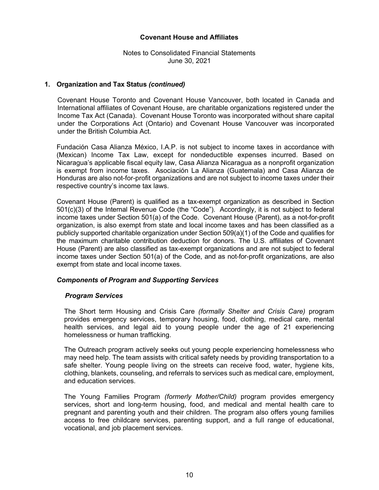Notes to Consolidated Financial Statements June 30, 2021

### **1. Organization and Tax Status** *(continued)*

Covenant House Toronto and Covenant House Vancouver, both located in Canada and International affiliates of Covenant House, are charitable organizations registered under the Income Tax Act (Canada). Covenant House Toronto was incorporated without share capital under the Corporations Act (Ontario) and Covenant House Vancouver was incorporated under the British Columbia Act.

Fundación Casa Alianza México, I.A.P. is not subject to income taxes in accordance with (Mexican) Income Tax Law, except for nondeductible expenses incurred. Based on Nicaragua's applicable fiscal equity law, Casa Alianza Nicaragua as a nonprofit organization is exempt from income taxes. Asociación La Alianza (Guatemala) and Casa Alianza de Honduras are also not-for-profit organizations and are not subject to income taxes under their respective country's income tax laws.

Covenant House (Parent) is qualified as a tax-exempt organization as described in Section 501(c)(3) of the Internal Revenue Code (the "Code"). Accordingly, it is not subject to federal income taxes under Section 501(a) of the Code. Covenant House (Parent), as a not-for-profit organization, is also exempt from state and local income taxes and has been classified as a publicly supported charitable organization under Section 509(a)(1) of the Code and qualifies for the maximum charitable contribution deduction for donors. The U.S. affiliates of Covenant House (Parent) are also classified as tax-exempt organizations and are not subject to federal income taxes under Section 501(a) of the Code, and as not-for-profit organizations, are also exempt from state and local income taxes.

# *Components of Program and Supporting Services*

#### *Program Services*

The Short term Housing and Crisis Care *(formally Shelter and Crisis Care)* program provides emergency services, temporary housing, food, clothing, medical care, mental health services, and legal aid to young people under the age of 21 experiencing homelessness or human trafficking.

The Outreach program actively seeks out young people experiencing homelessness who may need help. The team assists with critical safety needs by providing transportation to a safe shelter. Young people living on the streets can receive food, water, hygiene kits, clothing, blankets, counseling, and referrals to services such as medical care, employment, and education services.

The Young Families Program *(formerly Mother/Child)* program provides emergency services, short and long-term housing, food, and medical and mental health care to pregnant and parenting youth and their children. The program also offers young families access to free childcare services, parenting support, and a full range of educational, vocational, and job placement services.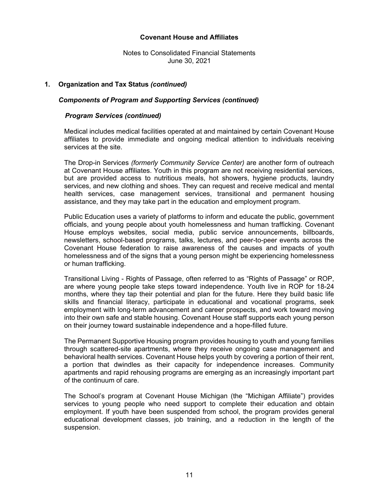Notes to Consolidated Financial Statements June 30, 2021

### **1. Organization and Tax Status** *(continued)*

### *Components of Program and Supporting Services (continued)*

### *Program Services (continued)*

Medical includes medical facilities operated at and maintained by certain Covenant House affiliates to provide immediate and ongoing medical attention to individuals receiving services at the site.

The Drop-in Services *(formerly Community Service Center)* are another form of outreach at Covenant House affiliates. Youth in this program are not receiving residential services, but are provided access to nutritious meals, hot showers, hygiene products, laundry services, and new clothing and shoes. They can request and receive medical and mental health services, case management services, transitional and permanent housing assistance, and they may take part in the education and employment program.

Public Education uses a variety of platforms to inform and educate the public, government officials, and young people about youth homelessness and human trafficking. Covenant House employs websites, social media, public service announcements, billboards, newsletters, school-based programs, talks, lectures, and peer-to-peer events across the Covenant House federation to raise awareness of the causes and impacts of youth homelessness and of the signs that a young person might be experiencing homelessness or human trafficking.

Transitional Living - Rights of Passage, often referred to as "Rights of Passage" or ROP, are where young people take steps toward independence. Youth live in ROP for 18-24 months, where they tap their potential and plan for the future. Here they build basic life skills and financial literacy, participate in educational and vocational programs, seek employment with long-term advancement and career prospects, and work toward moving into their own safe and stable housing. Covenant House staff supports each young person on their journey toward sustainable independence and a hope-filled future.

The Permanent Supportive Housing program provides housing to youth and young families through scattered-site apartments, where they receive ongoing case management and behavioral health services. Covenant House helps youth by covering a portion of their rent, a portion that dwindles as their capacity for independence increases. Community apartments and rapid rehousing programs are emerging as an increasingly important part of the continuum of care.

The School's program at Covenant House Michigan (the "Michigan Affiliate") provides services to young people who need support to complete their education and obtain employment. If youth have been suspended from school, the program provides general educational development classes, job training, and a reduction in the length of the suspension.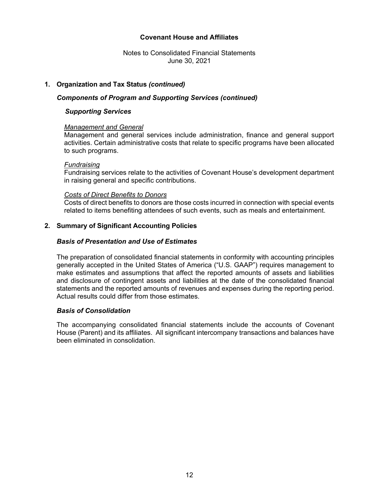Notes to Consolidated Financial Statements June 30, 2021

# **1. Organization and Tax Status** *(continued)*

### *Components of Program and Supporting Services (continued)*

# *Supporting Services*

#### *Management and General*

Management and general services include administration, finance and general support activities. Certain administrative costs that relate to specific programs have been allocated to such programs.

#### *Fundraising*

Fundraising services relate to the activities of Covenant House's development department in raising general and specific contributions.

#### *Costs of Direct Benefits to Donors*

Costs of direct benefits to donors are those costs incurred in connection with special events related to items benefiting attendees of such events, such as meals and entertainment.

#### **2. Summary of Significant Accounting Policies**

# *Basis of Presentation and Use of Estimates*

The preparation of consolidated financial statements in conformity with accounting principles generally accepted in the United States of America ("U.S. GAAP") requires management to make estimates and assumptions that affect the reported amounts of assets and liabilities and disclosure of contingent assets and liabilities at the date of the consolidated financial statements and the reported amounts of revenues and expenses during the reporting period. Actual results could differ from those estimates.

# *Basis of Consolidation*

The accompanying consolidated financial statements include the accounts of Covenant House (Parent) and its affiliates. All significant intercompany transactions and balances have been eliminated in consolidation.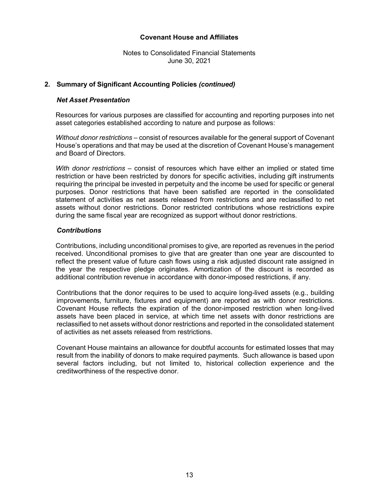Notes to Consolidated Financial Statements June 30, 2021

### **2. Summary of Significant Accounting Policies** *(continued)*

#### *Net Asset Presentation*

Resources for various purposes are classified for accounting and reporting purposes into net asset categories established according to nature and purpose as follows:

*Without donor restrictions –* consist of resources available for the general support of Covenant House's operations and that may be used at the discretion of Covenant House's management and Board of Directors.

*With donor restrictions –* consist of resources which have either an implied or stated time restriction or have been restricted by donors for specific activities, including gift instruments requiring the principal be invested in perpetuity and the income be used for specific or general purposes. Donor restrictions that have been satisfied are reported in the consolidated statement of activities as net assets released from restrictions and are reclassified to net assets without donor restrictions. Donor restricted contributions whose restrictions expire during the same fiscal year are recognized as support without donor restrictions.

# *Contributions*

Contributions, including unconditional promises to give, are reported as revenues in the period received. Unconditional promises to give that are greater than one year are discounted to reflect the present value of future cash flows using a risk adjusted discount rate assigned in the year the respective pledge originates. Amortization of the discount is recorded as additional contribution revenue in accordance with donor-imposed restrictions, if any.

Contributions that the donor requires to be used to acquire long-lived assets (e.g., building improvements, furniture, fixtures and equipment) are reported as with donor restrictions. Covenant House reflects the expiration of the donor-imposed restriction when long-lived assets have been placed in service, at which time net assets with donor restrictions are reclassified to net assets without donor restrictions and reported in the consolidated statement of activities as net assets released from restrictions.

Covenant House maintains an allowance for doubtful accounts for estimated losses that may result from the inability of donors to make required payments. Such allowance is based upon several factors including, but not limited to, historical collection experience and the creditworthiness of the respective donor.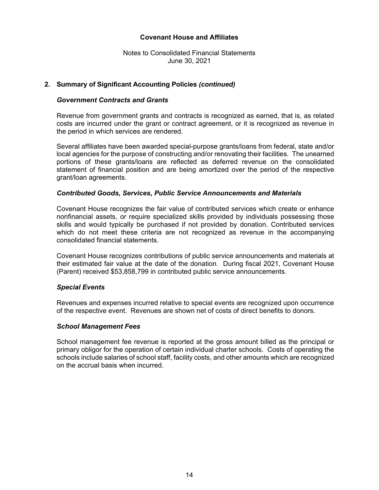Notes to Consolidated Financial Statements June 30, 2021

# **2. Summary of Significant Accounting Policies** *(continued)*

#### *Government Contracts and Grants*

Revenue from government grants and contracts is recognized as earned, that is, as related costs are incurred under the grant or contract agreement, or it is recognized as revenue in the period in which services are rendered.

Several affiliates have been awarded special-purpose grants/loans from federal, state and/or local agencies for the purpose of constructing and/or renovating their facilities. The unearned portions of these grants/loans are reflected as deferred revenue on the consolidated statement of financial position and are being amortized over the period of the respective grant/loan agreements.

#### *Contributed Goods, Services, Public Service Announcements and Materials*

Covenant House recognizes the fair value of contributed services which create or enhance nonfinancial assets, or require specialized skills provided by individuals possessing those skills and would typically be purchased if not provided by donation. Contributed services which do not meet these criteria are not recognized as revenue in the accompanying consolidated financial statements.

Covenant House recognizes contributions of public service announcements and materials at their estimated fair value at the date of the donation. During fiscal 2021, Covenant House (Parent) received \$53,858,799 in contributed public service announcements.

#### *Special Events*

Revenues and expenses incurred relative to special events are recognized upon occurrence of the respective event. Revenues are shown net of costs of direct benefits to donors.

#### *School Management Fees*

School management fee revenue is reported at the gross amount billed as the principal or primary obligor for the operation of certain individual charter schools. Costs of operating the schools include salaries of school staff, facility costs, and other amounts which are recognized on the accrual basis when incurred.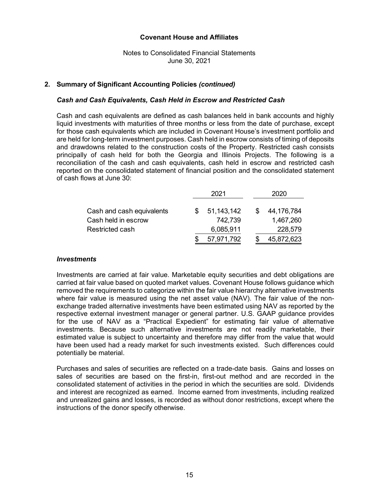# Notes to Consolidated Financial Statements June 30, 2021

# **2. Summary of Significant Accounting Policies** *(continued)*

#### *Cash and Cash Equivalents, Cash Held in Escrow and Restricted Cash*

Cash and cash equivalents are defined as cash balances held in bank accounts and highly liquid investments with maturities of three months or less from the date of purchase, except for those cash equivalents which are included in Covenant House's investment portfolio and are held for long-term investment purposes. Cash held in escrow consists of timing of deposits and drawdowns related to the construction costs of the Property. Restricted cash consists principally of cash held for both the Georgia and Illinois Projects. The following is a reconciliation of the cash and cash equivalents, cash held in escrow and restricted cash reported on the consolidated statement of financial position and the consolidated statement of cash flows at June 30:

|                           | 2021         | 2020       |
|---------------------------|--------------|------------|
| Cash and cash equivalents | 51, 143, 142 | 44,176,784 |
| Cash held in escrow       | 742,739      | 1,467,260  |
| Restricted cash           | 6,085,911    | 228,579    |
|                           | 57,971,792   | 45,872,623 |

#### *Investments*

Investments are carried at fair value. Marketable equity securities and debt obligations are carried at fair value based on quoted market values. Covenant House follows guidance which removed the requirements to categorize within the fair value hierarchy alternative investments where fair value is measured using the net asset value (NAV). The fair value of the nonexchange traded alternative investments have been estimated using NAV as reported by the respective external investment manager or general partner. U.S. GAAP guidance provides for the use of NAV as a "Practical Expedient" for estimating fair value of alternative investments. Because such alternative investments are not readily marketable, their estimated value is subject to uncertainty and therefore may differ from the value that would have been used had a ready market for such investments existed. Such differences could potentially be material.

Purchases and sales of securities are reflected on a trade-date basis. Gains and losses on sales of securities are based on the first-in, first-out method and are recorded in the consolidated statement of activities in the period in which the securities are sold. Dividends and interest are recognized as earned. Income earned from investments, including realized and unrealized gains and losses, is recorded as without donor restrictions, except where the instructions of the donor specify otherwise.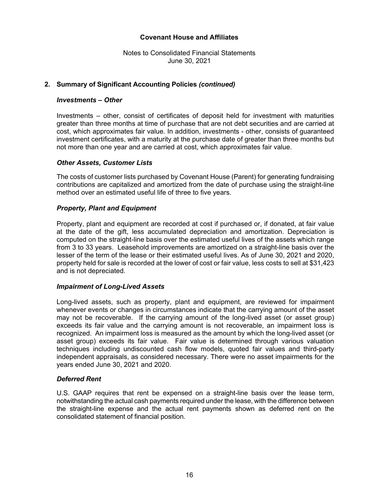Notes to Consolidated Financial Statements June 30, 2021

# **2. Summary of Significant Accounting Policies** *(continued)*

### *Investments – Other*

Investments – other, consist of certificates of deposit held for investment with maturities greater than three months at time of purchase that are not debt securities and are carried at cost, which approximates fair value. In addition, investments - other, consists of guaranteed investment certificates, with a maturity at the purchase date of greater than three months but not more than one year and are carried at cost, which approximates fair value.

# *Other Assets, Customer Lists*

The costs of customer lists purchased by Covenant House (Parent) for generating fundraising contributions are capitalized and amortized from the date of purchase using the straight-line method over an estimated useful life of three to five years.

# *Property, Plant and Equipment*

Property, plant and equipment are recorded at cost if purchased or, if donated, at fair value at the date of the gift, less accumulated depreciation and amortization. Depreciation is computed on the straight-line basis over the estimated useful lives of the assets which range from 3 to 33 years. Leasehold improvements are amortized on a straight-line basis over the lesser of the term of the lease or their estimated useful lives. As of June 30, 2021 and 2020, property held for sale is recorded at the lower of cost or fair value, less costs to sell at \$31,423 and is not depreciated.

#### *Impairment of Long-Lived Assets*

Long-lived assets, such as property, plant and equipment, are reviewed for impairment whenever events or changes in circumstances indicate that the carrying amount of the asset may not be recoverable. If the carrying amount of the long-lived asset (or asset group) exceeds its fair value and the carrying amount is not recoverable, an impairment loss is recognized. An impairment loss is measured as the amount by which the long-lived asset (or asset group) exceeds its fair value. Fair value is determined through various valuation techniques including undiscounted cash flow models, quoted fair values and third-party independent appraisals, as considered necessary. There were no asset impairments for the years ended June 30, 2021 and 2020.

# *Deferred Rent*

U.S. GAAP requires that rent be expensed on a straight-line basis over the lease term, notwithstanding the actual cash payments required under the lease, with the difference between the straight-line expense and the actual rent payments shown as deferred rent on the consolidated statement of financial position.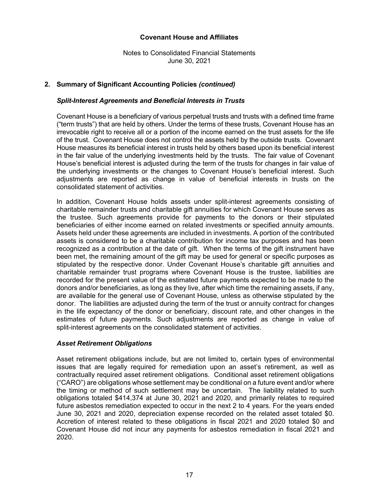Notes to Consolidated Financial Statements June 30, 2021

# **2. Summary of Significant Accounting Policies** *(continued)*

#### *Split-Interest Agreements and Beneficial Interests in Trusts*

Covenant House is a beneficiary of various perpetual trusts and trusts with a defined time frame ("term trusts") that are held by others. Under the terms of these trusts, Covenant House has an irrevocable right to receive all or a portion of the income earned on the trust assets for the life of the trust. Covenant House does not control the assets held by the outside trusts. Covenant House measures its beneficial interest in trusts held by others based upon its beneficial interest in the fair value of the underlying investments held by the trusts. The fair value of Covenant House's beneficial interest is adjusted during the term of the trusts for changes in fair value of the underlying investments or the changes to Covenant House's beneficial interest. Such adjustments are reported as change in value of beneficial interests in trusts on the consolidated statement of activities.

 In addition, Covenant House holds assets under split-interest agreements consisting of charitable remainder trusts and charitable gift annuities for which Covenant House serves as the trustee. Such agreements provide for payments to the donors or their stipulated beneficiaries of either income earned on related investments or specified annuity amounts. Assets held under these agreements are included in investments. A portion of the contributed assets is considered to be a charitable contribution for income tax purposes and has been recognized as a contribution at the date of gift. When the terms of the gift instrument have been met, the remaining amount of the gift may be used for general or specific purposes as stipulated by the respective donor. Under Covenant House's charitable gift annuities and charitable remainder trust programs where Covenant House is the trustee, liabilities are recorded for the present value of the estimated future payments expected to be made to the donors and/or beneficiaries, as long as they live, after which time the remaining assets, if any, are available for the general use of Covenant House, unless as otherwise stipulated by the donor. The liabilities are adjusted during the term of the trust or annuity contract for changes in the life expectancy of the donor or beneficiary, discount rate, and other changes in the estimates of future payments. Such adjustments are reported as change in value of split-interest agreements on the consolidated statement of activities.

#### *Asset Retirement Obligations*

Asset retirement obligations include, but are not limited to, certain types of environmental issues that are legally required for remediation upon an asset's retirement, as well as contractually required asset retirement obligations. Conditional asset retirement obligations ("CARO") are obligations whose settlement may be conditional on a future event and/or where the timing or method of such settlement may be uncertain. The liability related to such obligations totaled \$414,374 at June 30, 2021 and 2020, and primarily relates to required future asbestos remediation expected to occur in the next 2 to 4 years. For the years ended June 30, 2021 and 2020, depreciation expense recorded on the related asset totaled \$0. Accretion of interest related to these obligations in fiscal 2021 and 2020 totaled \$0 and Covenant House did not incur any payments for asbestos remediation in fiscal 2021 and 2020.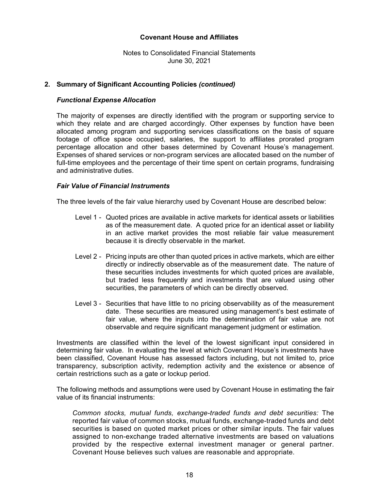Notes to Consolidated Financial Statements June 30, 2021

### **2. Summary of Significant Accounting Policies** *(continued)*

#### *Functional Expense Allocation*

The majority of expenses are directly identified with the program or supporting service to which they relate and are charged accordingly. Other expenses by function have been allocated among program and supporting services classifications on the basis of square footage of office space occupied, salaries, the support to affiliates prorated program percentage allocation and other bases determined by Covenant House's management. Expenses of shared services or non-program services are allocated based on the number of full-time employees and the percentage of their time spent on certain programs, fundraising and administrative duties.

#### *Fair Value of Financial Instruments*

The three levels of the fair value hierarchy used by Covenant House are described below:

- Level 1 Quoted prices are available in active markets for identical assets or liabilities as of the measurement date. A quoted price for an identical asset or liability in an active market provides the most reliable fair value measurement because it is directly observable in the market.
- Level 2 Pricing inputs are other than quoted prices in active markets, which are either directly or indirectly observable as of the measurement date. The nature of these securities includes investments for which quoted prices are available, but traded less frequently and investments that are valued using other securities, the parameters of which can be directly observed.
- Level 3 Securities that have little to no pricing observability as of the measurement date. These securities are measured using management's best estimate of fair value, where the inputs into the determination of fair value are not observable and require significant management judgment or estimation.

Investments are classified within the level of the lowest significant input considered in determining fair value. In evaluating the level at which Covenant House's investments have been classified, Covenant House has assessed factors including, but not limited to, price transparency, subscription activity, redemption activity and the existence or absence of certain restrictions such as a gate or lockup period.

The following methods and assumptions were used by Covenant House in estimating the fair value of its financial instruments:

*Common stocks, mutual funds, exchange-traded funds and debt securities:* The reported fair value of common stocks, mutual funds, exchange-traded funds and debt securities is based on quoted market prices or other similar inputs. The fair values assigned to non-exchange traded alternative investments are based on valuations provided by the respective external investment manager or general partner. Covenant House believes such values are reasonable and appropriate.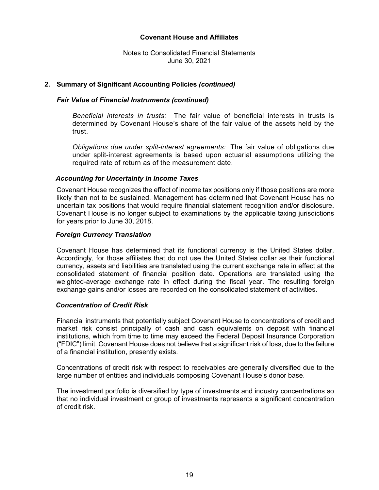Notes to Consolidated Financial Statements June 30, 2021

# **2. Summary of Significant Accounting Policies** *(continued)*

# *Fair Value of Financial Instruments (continued)*

*Beneficial interests in trusts:* The fair value of beneficial interests in trusts is determined by Covenant House's share of the fair value of the assets held by the trust.

*Obligations due under split-interest agreements:* The fair value of obligations due under split-interest agreements is based upon actuarial assumptions utilizing the required rate of return as of the measurement date.

#### *Accounting for Uncertainty in Income Taxes*

Covenant House recognizes the effect of income tax positions only if those positions are more likely than not to be sustained. Management has determined that Covenant House has no uncertain tax positions that would require financial statement recognition and/or disclosure. Covenant House is no longer subject to examinations by the applicable taxing jurisdictions for years prior to June 30, 2018.

#### *Foreign Currency Translation*

Covenant House has determined that its functional currency is the United States dollar. Accordingly, for those affiliates that do not use the United States dollar as their functional currency, assets and liabilities are translated using the current exchange rate in effect at the consolidated statement of financial position date. Operations are translated using the weighted-average exchange rate in effect during the fiscal year. The resulting foreign exchange gains and/or losses are recorded on the consolidated statement of activities.

#### *Concentration of Credit Risk*

Financial instruments that potentially subject Covenant House to concentrations of credit and market risk consist principally of cash and cash equivalents on deposit with financial institutions, which from time to time may exceed the Federal Deposit Insurance Corporation ("FDIC") limit. Covenant House does not believe that a significant risk of loss, due to the failure of a financial institution, presently exists.

Concentrations of credit risk with respect to receivables are generally diversified due to the large number of entities and individuals composing Covenant House's donor base.

The investment portfolio is diversified by type of investments and industry concentrations so that no individual investment or group of investments represents a significant concentration of credit risk.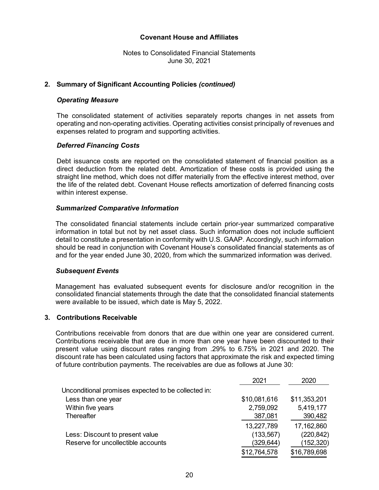Notes to Consolidated Financial Statements June 30, 2021

### **2. Summary of Significant Accounting Policies** *(continued)*

#### *Operating Measure*

The consolidated statement of activities separately reports changes in net assets from operating and non-operating activities. Operating activities consist principally of revenues and expenses related to program and supporting activities.

#### *Deferred Financing Costs*

Debt issuance costs are reported on the consolidated statement of financial position as a direct deduction from the related debt. Amortization of these costs is provided using the straight line method, which does not differ materially from the effective interest method, over the life of the related debt. Covenant House reflects amortization of deferred financing costs within interest expense.

#### *Summarized Comparative Information*

The consolidated financial statements include certain prior-year summarized comparative information in total but not by net asset class. Such information does not include sufficient detail to constitute a presentation in conformity with U.S. GAAP. Accordingly, such information should be read in conjunction with Covenant House's consolidated financial statements as of and for the year ended June 30, 2020, from which the summarized information was derived.

#### *Subsequent Events*

Management has evaluated subsequent events for disclosure and/or recognition in the consolidated financial statements through the date that the consolidated financial statements were available to be issued, which date is May 5, 2022.

#### **3. Contributions Receivable**

Contributions receivable from donors that are due within one year are considered current. Contributions receivable that are due in more than one year have been discounted to their present value using discount rates ranging from .29% to 6.75% in 2021 and 2020. The discount rate has been calculated using factors that approximate the risk and expected timing of future contribution payments. The receivables are due as follows at June 30:

|                                                     | 2021         | 2020         |
|-----------------------------------------------------|--------------|--------------|
| Unconditional promises expected to be collected in: |              |              |
| Less than one year                                  | \$10,081,616 | \$11,353,201 |
| Within five years                                   | 2,759,092    | 5,419,177    |
| Thereafter                                          | 387,081      | 390,482      |
|                                                     | 13,227,789   | 17,162,860   |
| Less: Discount to present value                     | (133, 567)   | (220, 842)   |
| Reserve for uncollectible accounts                  | (329,644)    | (152, 320)   |
|                                                     | \$12,764,578 | \$16,789,698 |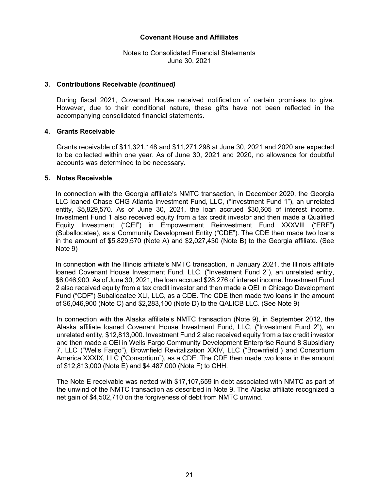Notes to Consolidated Financial Statements June 30, 2021

#### **3. Contributions Receivable** *(continued)*

During fiscal 2021, Covenant House received notification of certain promises to give. However, due to their conditional nature, these gifts have not been reflected in the accompanying consolidated financial statements.

#### **4. Grants Receivable**

Grants receivable of \$11,321,148 and \$11,271,298 at June 30, 2021 and 2020 are expected to be collected within one year. As of June 30, 2021 and 2020, no allowance for doubtful accounts was determined to be necessary.

#### **5. Notes Receivable**

In connection with the Georgia affiliate's NMTC transaction, in December 2020, the Georgia LLC loaned Chase CHG Atlanta Investment Fund, LLC, ("Investment Fund 1"), an unrelated entity, \$5,829,570. As of June 30, 2021, the loan accrued \$30,605 of interest income. Investment Fund 1 also received equity from a tax credit investor and then made a Qualified Equity Investment ("QEI") in Empowerment Reinvestment Fund XXXVIII ("ERF") (Suballocatee), as a Community Development Entity ("CDE"). The CDE then made two loans in the amount of \$5,829,570 (Note A) and \$2,027,430 (Note B) to the Georgia affiliate. (See Note 9)

In connection with the Illinois affiliate's NMTC transaction, in January 2021, the Illinois affiliate loaned Covenant House Investment Fund, LLC, ("Investment Fund 2"), an unrelated entity, \$6,046,900. As of June 30, 2021, the loan accrued \$28,276 of interest income. Investment Fund 2 also received equity from a tax credit investor and then made a QEI in Chicago Development Fund ("CDF") Suballocatee XLI, LLC, as a CDE. The CDE then made two loans in the amount of \$6,046,900 (Note C) and \$2,283,100 (Note D) to the QALICB LLC. (See Note 9)

In connection with the Alaska affiliate's NMTC transaction (Note 9), in September 2012, the Alaska affiliate loaned Covenant House Investment Fund, LLC, ("Investment Fund 2"), an unrelated entity, \$12,813,000. Investment Fund 2 also received equity from a tax credit investor and then made a QEI in Wells Fargo Community Development Enterprise Round 8 Subsidiary 7, LLC ("Wells Fargo"), Brownfield Revitalization XXIV, LLC ("Brownfield") and Consortium America XXXIX, LLC ("Consortium"), as a CDE. The CDE then made two loans in the amount of \$12,813,000 (Note E) and \$4,487,000 (Note F) to CHH.

The Note E receivable was netted with \$17,107,659 in debt associated with NMTC as part of the unwind of the NMTC transaction as described in Note 9. The Alaska affiliate recognized a net gain of \$4,502,710 on the forgiveness of debt from NMTC unwind.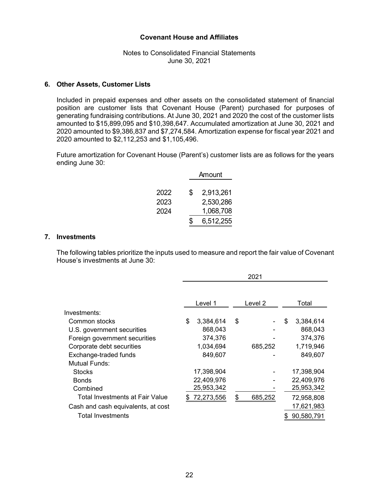Notes to Consolidated Financial Statements June 30, 2021

#### **6. Other Assets, Customer Lists**

Included in prepaid expenses and other assets on the consolidated statement of financial position are customer lists that Covenant House (Parent) purchased for purposes of generating fundraising contributions. At June 30, 2021 and 2020 the cost of the customer lists amounted to \$15,899,095 and \$10,398,647. Accumulated amortization at June 30, 2021 and 2020 amounted to \$9,386,837 and \$7,274,584. Amortization expense for fiscal year 2021 and 2020 amounted to \$2,112,253 and \$1,105,496.

Future amortization for Covenant House (Parent's) customer lists are as follows for the years ending June 30:

|      | Amount |           |  |  |  |  |
|------|--------|-----------|--|--|--|--|
|      |        |           |  |  |  |  |
| 2022 | \$     | 2,913,261 |  |  |  |  |
| 2023 |        | 2,530,286 |  |  |  |  |
| 2024 |        | 1,068,708 |  |  |  |  |
|      | \$     | 6,512,255 |  |  |  |  |

#### **7. Investments**

The following tables prioritize the inputs used to measure and report the fair value of Covenant House's investments at June 30:

|                                    | 2021 |            |    |         |    |            |
|------------------------------------|------|------------|----|---------|----|------------|
|                                    |      | Level 1    |    | Level 2 |    | Total      |
| Investments:                       |      |            |    |         |    |            |
| Common stocks                      | \$   | 3,384,614  | \$ |         | \$ | 3,384,614  |
| U.S. government securities         |      | 868,043    |    |         |    | 868,043    |
| Foreign government securities      |      | 374,376    |    |         |    | 374,376    |
| Corporate debt securities          |      | 1,034,694  |    | 685,252 |    | 1,719,946  |
| Exchange-traded funds              |      | 849,607    |    |         |    | 849,607    |
| Mutual Funds:                      |      |            |    |         |    |            |
| <b>Stocks</b>                      |      | 17,398,904 |    |         |    | 17,398,904 |
| <b>Bonds</b>                       |      | 22,409,976 |    |         |    | 22,409,976 |
| Combined                           |      | 25,953,342 |    |         |    | 25,953,342 |
| Total Investments at Fair Value    |      | 72,273,556 | \$ | 685,252 |    | 72,958,808 |
| Cash and cash equivalents, at cost |      |            |    |         |    | 17,621,983 |
| <b>Total Investments</b>           |      |            |    |         |    | 90,580,791 |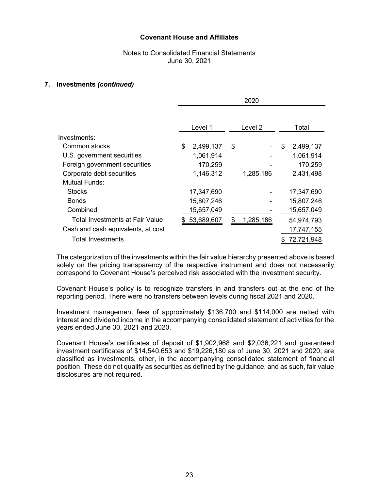# Notes to Consolidated Financial Statements June 30, 2021

#### **7. Investments** *(continued)*

|                                        | 2020 |            |    |           |    |            |
|----------------------------------------|------|------------|----|-----------|----|------------|
|                                        |      | Level 1    |    | Level 2   |    | Total      |
| Investments:                           |      |            |    |           |    |            |
| Common stocks                          | \$   | 2,499,137  | \$ |           | \$ | 2,499,137  |
| U.S. government securities             |      | 1,061,914  |    |           |    | 1,061,914  |
| Foreign government securities          |      | 170,259    |    |           |    | 170,259    |
| Corporate debt securities              |      | 1,146,312  |    | 1,285,186 |    | 2,431,498  |
| Mutual Funds:                          |      |            |    |           |    |            |
| <b>Stocks</b>                          |      | 17,347,690 |    |           |    | 17,347,690 |
| <b>Bonds</b>                           |      | 15,807,246 |    |           |    | 15,807,246 |
| Combined                               |      | 15,657,049 |    |           |    | 15,657,049 |
| <b>Total Investments at Fair Value</b> |      | 53,689,607 | \$ | 1,285,186 |    | 54,974,793 |
| Cash and cash equivalents, at cost     |      |            |    |           |    | 17,747,155 |
| <b>Total Investments</b>               |      |            |    |           |    | 72,721,948 |

The categorization of the investments within the fair value hierarchy presented above is based solely on the pricing transparency of the respective instrument and does not necessarily correspond to Covenant House's perceived risk associated with the investment security.

Covenant House's policy is to recognize transfers in and transfers out at the end of the reporting period. There were no transfers between levels during fiscal 2021 and 2020.

Investment management fees of approximately \$136,700 and \$114,000 are netted with interest and dividend income in the accompanying consolidated statement of activities for the years ended June 30, 2021 and 2020.

Covenant House's certificates of deposit of \$1,902,968 and \$2,036,221 and guaranteed investment certificates of \$14,540,653 and \$19,226,180 as of June 30, 2021 and 2020, are classified as investments, other, in the accompanying consolidated statement of financial position. These do not qualify as securities as defined by the guidance, and as such, fair value disclosures are not required.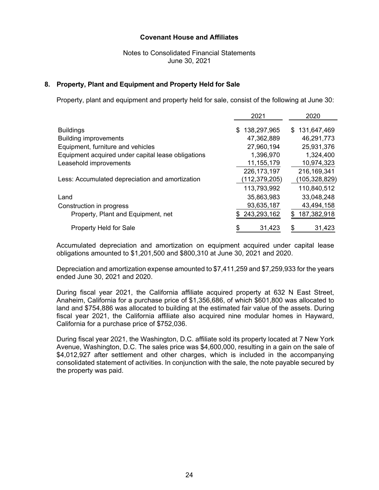# Notes to Consolidated Financial Statements June 30, 2021

### **8. Property, Plant and Equipment and Property Held for Sale**

Property, plant and equipment and property held for sale, consist of the following at June 30:

|                                                    | 2021              | 2020               |
|----------------------------------------------------|-------------------|--------------------|
| <b>Buildings</b>                                   | 138,297,965<br>\$ | \$131,647,469      |
| <b>Building improvements</b>                       | 47,362,889        | 46,291,773         |
| Equipment, furniture and vehicles                  | 27,960,194        | 25,931,376         |
| Equipment acquired under capital lease obligations | 1,396,970         | 1,324,400          |
| Leasehold improvements                             | 11, 155, 179      | 10,974,323         |
|                                                    | 226, 173, 197     | 216,169,341        |
| Less: Accumulated depreciation and amortization    | (112,379,205)     | (105,328,829)      |
|                                                    | 113,793,992       | 110,840,512        |
| Land                                               | 35,863,983        | 33,048,248         |
| Construction in progress                           | 93,635,187        | 43,494,158         |
| Property, Plant and Equipment, net                 | 243,293,162       | 187,382,918<br>\$. |
| <b>Property Held for Sale</b>                      | \$<br>31,423      | 31,423             |

Accumulated depreciation and amortization on equipment acquired under capital lease obligations amounted to \$1,201,500 and \$800,310 at June 30, 2021 and 2020.

Depreciation and amortization expense amounted to \$7,411,259 and \$7,259,933 for the years ended June 30, 2021 and 2020.

During fiscal year 2021, the California affiliate acquired property at 632 N East Street, Anaheim, California for a purchase price of \$1,356,686, of which \$601,800 was allocated to land and \$754,886 was allocated to building at the estimated fair value of the assets. During fiscal year 2021, the California affiliate also acquired nine modular homes in Hayward, California for a purchase price of \$752,036.

During fiscal year 2021, the Washington, D.C. affiliate sold its property located at 7 New York Avenue, Washington, D.C. The sales price was \$4,600,000, resulting in a gain on the sale of \$4,012,927 after settlement and other charges, which is included in the accompanying consolidated statement of activities. In conjunction with the sale, the note payable secured by the property was paid.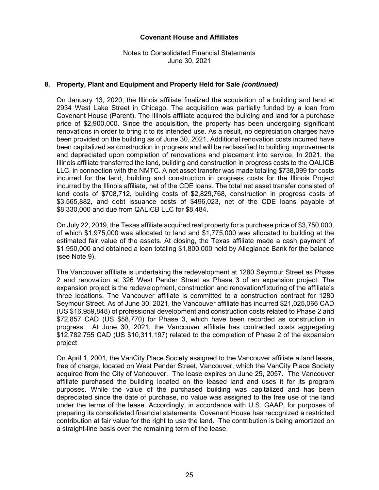Notes to Consolidated Financial Statements June 30, 2021

# **8. Property, Plant and Equipment and Property Held for Sale** *(continued)*

On January 13, 2020, the Illinois affiliate finalized the acquisition of a building and land at 2934 West Lake Street in Chicago. The acquisition was partially funded by a loan from Covenant House (Parent). The Illinois affiliate acquired the building and land for a purchase price of \$2,900,000. Since the acquisition, the property has been undergoing significant renovations in order to bring it to its intended use. As a result, no depreciation charges have been provided on the building as of June 30, 2021. Additional renovation costs incurred have been capitalized as construction in progress and will be reclassified to building improvements and depreciated upon completion of renovations and placement into service. In 2021, the Illinois affiliate transferred the land, building and construction in progress costs to the QALICB LLC, in connection with the NMTC. A net asset transfer was made totaling \$738,099 for costs incurred for the land, building and construction in progress costs for the Illinois Project incurred by the Illinois affiliate, net of the CDE loans. The total net asset transfer consisted of land costs of \$708,712, building costs of \$2,829,768, construction in progress costs of \$3,565,882, and debt issuance costs of \$496,023, net of the CDE loans payable of \$8,330,000 and due from QALICB LLC for \$8,484.

On July 22, 2019, the Texas affiliate acquired real property for a purchase price of \$3,750,000, of which \$1,975,000 was allocated to land and \$1,775,000 was allocated to building at the estimated fair value of the assets. At closing, the Texas affiliate made a cash payment of \$1,950,000 and obtained a loan totaling \$1,800,000 held by Allegiance Bank for the balance (see Note 9).

The Vancouver affiliate is undertaking the redevelopment at 1280 Seymour Street as Phase 2 and renovation at 326 West Pender Street as Phase 3 of an expansion project. The expansion project is the redevelopment, construction and renovation/fixturing of the affiliate's three locations. The Vancouver affiliate is committed to a construction contract for 1280 Seymour Street. As of June 30, 2021, the Vancouver affiliate has incurred \$21,025,066 CAD (US \$16,959,848) of professional development and construction costs related to Phase 2 and \$72,857 CAD (US \$58,770) for Phase 3, which have been recorded as construction in progress. At June 30, 2021, the Vancouver affiliate has contracted costs aggregating \$12,782,755 CAD (US \$10,311,197) related to the completion of Phase 2 of the expansion project

On April 1, 2001, the VanCity Place Society assigned to the Vancouver affiliate a land lease, free of charge, located on West Pender Street, Vancouver, which the VanCity Place Society acquired from the City of Vancouver. The lease expires on June 25, 2057. The Vancouver affiliate purchased the building located on the leased land and uses it for its program purposes. While the value of the purchased building was capitalized and has been depreciated since the date of purchase, no value was assigned to the free use of the land under the terms of the lease. Accordingly, in accordance with U.S. GAAP, for purposes of preparing its consolidated financial statements, Covenant House has recognized a restricted contribution at fair value for the right to use the land. The contribution is being amortized on a straight-line basis over the remaining term of the lease.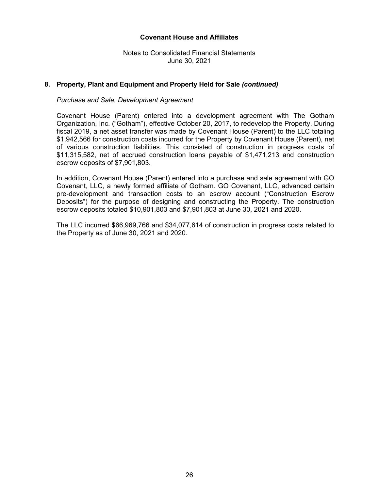Notes to Consolidated Financial Statements June 30, 2021

# **8. Property, Plant and Equipment and Property Held for Sale** *(continued)*

#### *Purchase and Sale, Development Agreement*

Covenant House (Parent) entered into a development agreement with The Gotham Organization, Inc. ("Gotham"), effective October 20, 2017, to redevelop the Property. During fiscal 2019, a net asset transfer was made by Covenant House (Parent) to the LLC totaling \$1,942,566 for construction costs incurred for the Property by Covenant House (Parent), net of various construction liabilities. This consisted of construction in progress costs of \$11,315,582, net of accrued construction loans payable of \$1,471,213 and construction escrow deposits of \$7,901,803.

In addition, Covenant House (Parent) entered into a purchase and sale agreement with GO Covenant, LLC, a newly formed affiliate of Gotham. GO Covenant, LLC, advanced certain pre-development and transaction costs to an escrow account ("Construction Escrow Deposits") for the purpose of designing and constructing the Property. The construction escrow deposits totaled \$10,901,803 and \$7,901,803 at June 30, 2021 and 2020.

The LLC incurred \$66,969,766 and \$34,077,614 of construction in progress costs related to the Property as of June 30, 2021 and 2020.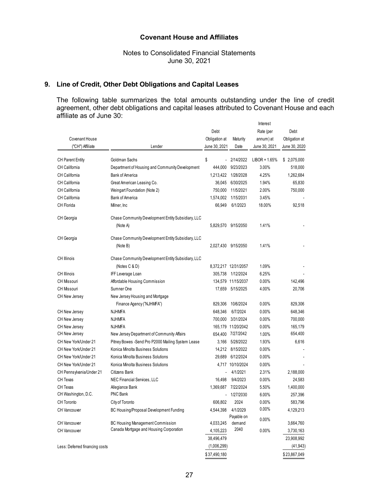Notes to Consolidated Financial Statements June 30, 2021

# **9. Line of Credit, Other Debt Obligations and Capital Leases**

The following table summarizes the total amounts outstanding under the line of credit agreement, other debt obligations and capital leases attributed to Covenant House and each affiliate as of June 30:

|                                |                                                    |                |                      | Interest        |               |
|--------------------------------|----------------------------------------------------|----------------|----------------------|-----------------|---------------|
|                                |                                                    | Debt           |                      | Rate (per       | Debt          |
| <b>Covenant House</b>          |                                                    | Obligation at  | Maturity             | annum) at       | Obligation at |
| ("CH") Affiliate               | Lender                                             | June 30, 2021  | Date                 | June 30, 2021   | June 30, 2020 |
|                                |                                                    |                |                      |                 |               |
| <b>CH Parent Entity</b>        | Goldman Sachs                                      | \$             | 2/14/2022            | $LIBOR + 1.65%$ | \$ 2,075,000  |
| CH California                  | Department of Housing and Community Development    | 444,000        | 9/23/2023            | 3.00%           | 518,000       |
| <b>CH California</b>           | Bank of America                                    | 1,213,422      | 1/28/2028            | 4.25%           | 1,262,684     |
| <b>CH California</b>           | Great American Leasing Co.                         | 36,045         | 6/30/2025            | 1.94%           | 65,830        |
| <b>CH California</b>           | Weingart Foundation (Note 2)                       | 750,000        | 11/5/2021            | 2.00%           | 750,000       |
| <b>CH California</b>           | Bank of America                                    | 1,574,002      | 1/15/2031            | 3.45%           |               |
| CH Florida                     | Milner, Inc                                        | 66,949         | 6/1/2023             | 18.00%          | 92,518        |
| CH Georgia                     | Chase Community Development Entity Subsidiary, LLC |                |                      |                 |               |
|                                | (Note A)                                           |                | 5,829,570 9/15/2050  | 1.41%           |               |
| CH Georgia                     | Chase Community Development Entity Subsidiary, LLC |                |                      |                 |               |
|                                | (Note B)                                           |                | 2,027,430 9/15/2050  | 1.41%           |               |
| CH Illinois                    | Chase Community Development Entity Subsidiary, LLC |                |                      |                 |               |
|                                | (Notes C & D)                                      |                | 8,372,217 12/31/2057 | 1.09%           |               |
| CH Illinois                    | IFF Leverage Loan                                  | 305,738        | 1/12/2024            | 6.25%           |               |
| <b>CH Missouri</b>             | Affordable Housing Commission                      |                | 134,579 11/15/2037   | $0.00\%$        | 142,496       |
| CH Missouri                    | Sumner One                                         | 17,659         | 5/15/2025            | 4.00%           | 20,706        |
| CH New Jersey                  | New Jersey Housing and Mortgage                    |                |                      |                 |               |
|                                | Finance Agency ("NJHMFA")                          | 829,306        | 10/6/2024            | 0.00%           | 829,306       |
| CH New Jersey                  | NJHMFA                                             | 648,346        | 6/7/2024             | 0.00%           | 648,346       |
| CH New Jersey                  | NJHMFA                                             | 700,000        | 3/31/2024            | $0.00\%$        | 700,000       |
| CH New Jersey                  | <b>NJHMFA</b>                                      |                | 165,179 11/20/2042   | $0.00\%$        | 165,179       |
| CH New Jersey                  | New Jersey Department of Community Affairs         | 654,400        | 7/27/2042            | 1.00%           | 654,400       |
| CH New York/Under 21           | Pitney Bowes -Send Pro P2000 Mailing System Lease  | 3,166          | 5/28/2022            | 1.93%           | 6,616         |
| CH New York/Under 21           | Konica Minolta Business Solutions                  |                | 14,212 8/15/2022     | 0.00%           |               |
| CH New York/Under 21           | Konica Minolta Business Solutions                  | 29,689         | 6/12/2024            | $0.00\%$        |               |
| CH New York/Under 21           | Konica Minolta Business Solutions                  |                | 4,717 10/10/2024     | 0.00%           |               |
| CH Pennsylvania/Under 21       | Citizens Bank                                      | $\blacksquare$ | 4/1/2021             | 2.31%           | 2,188,000     |
| CH Texas                       | NEC Financial Services, LLC                        | 16,498         | 9/4/2023             | 0.00%           | 24,583        |
| <b>CH Texas</b>                | Allegiance Bank                                    | 1,369,687      | 7/22/2024            | 5.50%           | 1,400,000     |
| CH Washington, D.C.            | <b>PNC Bank</b>                                    |                | 1/27/2030            | 6.00%           | 257,396       |
| <b>CH Toronto</b>              | City of Toronto                                    | 606,802        | 2024                 | 0.00%           | 583,796       |
| CH Vancouver                   | BC Housing/Proposal Development Funding            | 4,544,398      | 4/1/2029             | 0.00%           | 4,129,213     |
|                                |                                                    |                | Payable on           | 0.00%           |               |
| <b>CH Vancouver</b>            | BC Housing Management Commission                   | 4,033,245      | demand               |                 | 3,664,760     |
| <b>CH Vancouver</b>            | Canada Mortgage and Housing Corporation            | 4,105,223      | 2040                 | 0.00%           | 3,730,163     |
|                                |                                                    | 38,496,479     |                      |                 | 23,908,992    |
| Less: Deferred financing costs |                                                    | (1,006,299)    |                      |                 | (41, 943)     |
|                                |                                                    | \$37,490,180   |                      |                 | \$23,867,049  |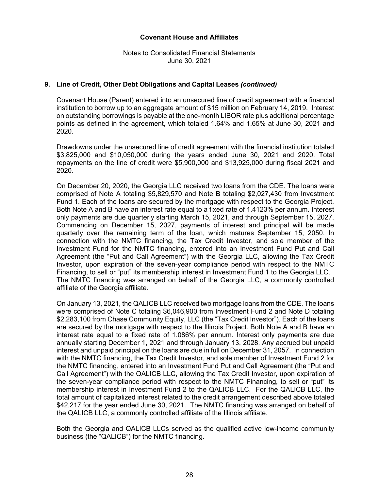Notes to Consolidated Financial Statements June 30, 2021

# **9. Line of Credit, Other Debt Obligations and Capital Leases** *(continued)*

Covenant House (Parent) entered into an unsecured line of credit agreement with a financial institution to borrow up to an aggregate amount of \$15 million on February 14, 2019. Interest on outstanding borrowings is payable at the one-month LIBOR rate plus additional percentage points as defined in the agreement, which totaled 1.64% and 1.65% at June 30, 2021 and 2020.

Drawdowns under the unsecured line of credit agreement with the financial institution totaled \$3,825,000 and \$10,050,000 during the years ended June 30, 2021 and 2020. Total repayments on the line of credit were \$5,900,000 and \$13,925,000 during fiscal 2021 and 2020.

On December 20, 2020, the Georgia LLC received two loans from the CDE. The loans were comprised of Note A totaling \$5,829,570 and Note B totaling \$2,027,430 from Investment Fund 1. Each of the loans are secured by the mortgage with respect to the Georgia Project. Both Note A and B have an interest rate equal to a fixed rate of 1.4123% per annum. Interest only payments are due quarterly starting March 15, 2021, and through September 15, 2027. Commencing on December 15, 2027, payments of interest and principal will be made quarterly over the remaining term of the loan, which matures September 15, 2050. In connection with the NMTC financing, the Tax Credit Investor, and sole member of the Investment Fund for the NMTC financing, entered into an Investment Fund Put and Call Agreement (the "Put and Call Agreement") with the Georgia LLC, allowing the Tax Credit Investor, upon expiration of the seven-year compliance period with respect to the NMTC Financing, to sell or "put" its membership interest in Investment Fund 1 to the Georgia LLC. The NMTC financing was arranged on behalf of the Georgia LLC, a commonly controlled affiliate of the Georgia affiliate.

On January 13, 2021, the QALICB LLC received two mortgage loans from the CDE. The loans were comprised of Note C totaling \$6,046,900 from Investment Fund 2 and Note D totaling \$2,283,100 from Chase Community Equity, LLC (the "Tax Credit Investor"). Each of the loans are secured by the mortgage with respect to the Illinois Project. Both Note A and B have an interest rate equal to a fixed rate of 1.086% per annum. Interest only payments are due annually starting December 1, 2021 and through January 13, 2028. Any accrued but unpaid interest and unpaid principal on the loans are due in full on December 31, 2057. In connection with the NMTC financing, the Tax Credit Investor, and sole member of Investment Fund 2 for the NMTC financing, entered into an Investment Fund Put and Call Agreement (the "Put and Call Agreement") with the QALICB LLC, allowing the Tax Credit Investor, upon expiration of the seven-year compliance period with respect to the NMTC Financing, to sell or "put" its membership interest in Investment Fund 2 to the QALICB LLC. For the QALICB LLC, the total amount of capitalized interest related to the credit arrangement described above totaled \$42,217 for the year ended June 30, 2021. The NMTC financing was arranged on behalf of the QALICB LLC, a commonly controlled affiliate of the Illinois affiliate.

Both the Georgia and QALICB LLCs served as the qualified active low-income community business (the "QALICB") for the NMTC financing.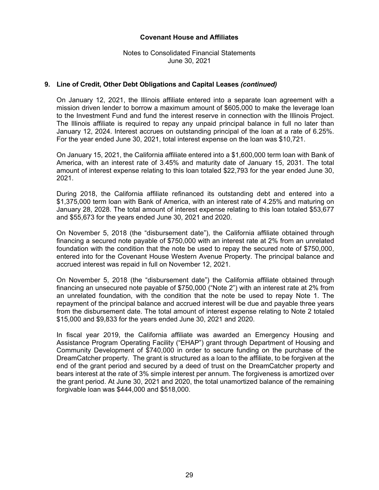Notes to Consolidated Financial Statements June 30, 2021

# **9. Line of Credit, Other Debt Obligations and Capital Leases** *(continued)*

On January 12, 2021, the Illinois affiliate entered into a separate loan agreement with a mission driven lender to borrow a maximum amount of \$605,000 to make the leverage loan to the Investment Fund and fund the interest reserve in connection with the Illinois Project. The Illinois affiliate is required to repay any unpaid principal balance in full no later than January 12, 2024. Interest accrues on outstanding principal of the loan at a rate of 6.25%. For the year ended June 30, 2021, total interest expense on the loan was \$10,721.

On January 15, 2021, the California affiliate entered into a \$1,600,000 term loan with Bank of America, with an interest rate of 3.45% and maturity date of January 15, 2031. The total amount of interest expense relating to this loan totaled \$22,793 for the year ended June 30, 2021.

During 2018, the California affiliate refinanced its outstanding debt and entered into a \$1,375,000 term loan with Bank of America, with an interest rate of 4.25% and maturing on January 28, 2028. The total amount of interest expense relating to this loan totaled \$53,677 and \$55,673 for the years ended June 30, 2021 and 2020.

On November 5, 2018 (the "disbursement date"), the California affiliate obtained through financing a secured note payable of \$750,000 with an interest rate at 2% from an unrelated foundation with the condition that the note be used to repay the secured note of \$750,000, entered into for the Covenant House Western Avenue Property. The principal balance and accrued interest was repaid in full on November 12, 2021.

On November 5, 2018 (the "disbursement date") the California affiliate obtained through financing an unsecured note payable of \$750,000 ("Note 2") with an interest rate at 2% from an unrelated foundation, with the condition that the note be used to repay Note 1. The repayment of the principal balance and accrued interest will be due and payable three years from the disbursement date. The total amount of interest expense relating to Note 2 totaled \$15,000 and \$9,833 for the years ended June 30, 2021 and 2020.

In fiscal year 2019, the California affiliate was awarded an Emergency Housing and Assistance Program Operating Facility ("EHAP") grant through Department of Housing and Community Development of \$740,000 in order to secure funding on the purchase of the DreamCatcher property. The grant is structured as a loan to the affiliate, to be forgiven at the end of the grant period and secured by a deed of trust on the DreamCatcher property and bears interest at the rate of 3% simple interest per annum. The forgiveness is amortized over the grant period. At June 30, 2021 and 2020, the total unamortized balance of the remaining forgivable loan was \$444,000 and \$518,000.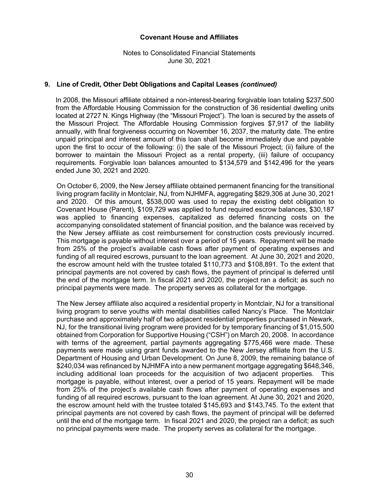Notes to Consolidated Financial Statements June 30, 2021

# **9. Line of Credit, Other Debt Obligations and Capital Leases** *(continued)*

In 2008, the Missouri affiliate obtained a non-interest-bearing forgivable loan totaling \$237,500 from the Affordable Housing Commission for the construction of 36 residential dwelling units located at 2727 N. Kings Highway (the "Missouri Project"). The loan is secured by the assets of the Missouri Project. The Affordable Housing Commission forgives \$7,917 of the liability annually, with final forgiveness occurring on November 16, 2037, the maturity date. The entire unpaid principal and interest amount of this loan shall become immediately due and payable upon the first to occur of the following: (i) the sale of the Missouri Project; (ii) failure of the borrower to maintain the Missouri Project as a rental property, (iii) failure of occupancy requirements. Forgivable loan balances amounted to \$134,579 and \$142,496 for the years ended June 30, 2021 and 2020.

On October 6, 2009, the New Jersey affiliate obtained permanent financing for the transitional living program facility in Montclair, NJ, from NJHMFA, aggregating \$829,306 at June 30, 2021 and 2020. Of this amount, \$538,000 was used to repay the existing debt obligation to Covenant House (Parent), \$109,729 was applied to fund required escrow balances, \$30,187 was applied to financing expenses, capitalized as deferred financing costs on the accompanying consolidated statement of financial position, and the balance was received by the New Jersey affiliate as cost reimbursement for construction costs previously incurred. This mortgage is payable without interest over a period of 15 years. Repayment will be made from 25% of the project's available cash flows after payment of operating expenses and funding of all required escrows, pursuant to the loan agreement. At June 30, 2021 and 2020, the escrow amount held with the trustee totaled \$110,773 and \$108,891. To the extent that principal payments are not covered by cash flows, the payment of principal is deferred until the end of the mortgage term. In fiscal 2021 and 2020, the project ran a deficit; as such no principal payments were made. The property serves as collateral for the mortgage.

The New Jersey affiliate also acquired a residential property in Montclair, NJ for a transitional living program to serve youths with mental disabilities called Nancy's Place. The Montclair purchase and approximately half of two adjacent residential properties purchased in Newark, NJ, for the transitional living program were provided for by temporary financing of \$1,015,500 obtained from Corporation for Supportive Housing ("CSH") on March 20, 2008. In accordance with terms of the agreement, partial payments aggregating \$775,466 were made. These payments were made using grant funds awarded to the New Jersey affiliate from the U.S. Department of Housing and Urban Development. On June 8, 2009, the remaining balance of \$240,034 was refinanced by NJHMFA into a new permanent mortgage aggregating \$648,346, including additional loan proceeds for the acquisition of two adjacent properties. This mortgage is payable, without interest, over a period of 15 years. Repayment will be made from 25% of the project's available cash flows after payment of operating expenses and funding of all required escrows, pursuant to the loan agreement. At June 30, 2021 and 2020, the escrow amount held with the trustee totaled \$145,693 and \$143,745. To the extent that principal payments are not covered by cash flows, the payment of principal will be deferred until the end of the mortgage term. In fiscal 2021 and 2020, the project ran a deficit; as such no principal payments were made. The property serves as collateral for the mortgage.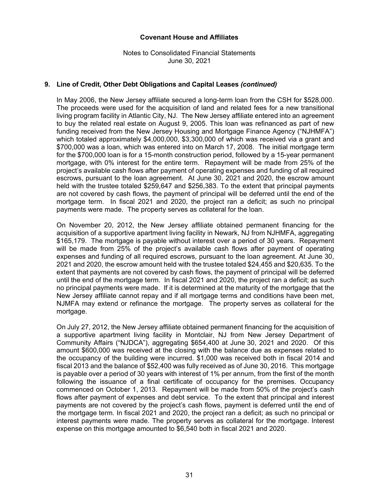Notes to Consolidated Financial Statements June 30, 2021

# **9. Line of Credit, Other Debt Obligations and Capital Leases** *(continued)*

In May 2006, the New Jersey affiliate secured a long-term loan from the CSH for \$528,000. The proceeds were used for the acquisition of land and related fees for a new transitional living program facility in Atlantic City, NJ. The New Jersey affiliate entered into an agreement to buy the related real estate on August 9, 2005. This loan was refinanced as part of new funding received from the New Jersey Housing and Mortgage Finance Agency ("NJHMFA") which totaled approximately \$4,000,000, \$3,300,000 of which was received via a grant and \$700,000 was a loan, which was entered into on March 17, 2008. The initial mortgage term for the \$700,000 loan is for a 15-month construction period, followed by a 15-year permanent mortgage, with 0% interest for the entire term. Repayment will be made from 25% of the project's available cash flows after payment of operating expenses and funding of all required escrows, pursuant to the loan agreement. At June 30, 2021 and 2020, the escrow amount held with the trustee totaled \$259,647 and \$256,383. To the extent that principal payments are not covered by cash flows, the payment of principal will be deferred until the end of the mortgage term. In fiscal 2021 and 2020, the project ran a deficit; as such no principal payments were made. The property serves as collateral for the loan.

On November 20, 2012, the New Jersey affiliate obtained permanent financing for the acquisition of a supportive apartment living facility in Newark, NJ from NJHMFA, aggregating \$165,179. The mortgage is payable without interest over a period of 30 years. Repayment will be made from 25% of the project's available cash flows after payment of operating expenses and funding of all required escrows, pursuant to the loan agreement. At June 30, 2021 and 2020, the escrow amount held with the trustee totaled \$24,455 and \$20,635. To the extent that payments are not covered by cash flows, the payment of principal will be deferred until the end of the mortgage term. In fiscal 2021 and 2020, the project ran a deficit; as such no principal payments were made. If it is determined at the maturity of the mortgage that the New Jersey affiliate cannot repay and if all mortgage terms and conditions have been met, NJMFA may extend or refinance the mortgage. The property serves as collateral for the mortgage.

On July 27, 2012, the New Jersey affiliate obtained permanent financing for the acquisition of a supportive apartment living facility in Montclair, NJ from New Jersey Department of Community Affairs ("NJDCA"), aggregating \$654,400 at June 30, 2021 and 2020. Of this amount \$600,000 was received at the closing with the balance due as expenses related to the occupancy of the building were incurred. \$1,000 was received both in fiscal 2014 and fiscal 2013 and the balance of \$52,400 was fully received as of June 30, 2016. This mortgage is payable over a period of 30 years with interest of 1% per annum, from the first of the month following the issuance of a final certificate of occupancy for the premises. Occupancy commenced on October 1, 2013. Repayment will be made from 50% of the project's cash flows after payment of expenses and debt service. To the extent that principal and interest payments are not covered by the project's cash flows, payment is deferred until the end of the mortgage term. In fiscal 2021 and 2020, the project ran a deficit; as such no principal or interest payments were made. The property serves as collateral for the mortgage. Interest expense on this mortgage amounted to \$6,540 both in fiscal 2021 and 2020.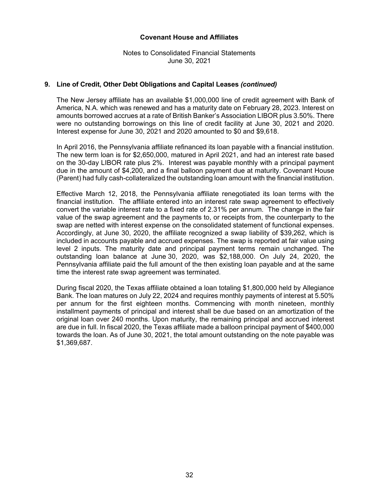Notes to Consolidated Financial Statements June 30, 2021

# **9. Line of Credit, Other Debt Obligations and Capital Leases** *(continued)*

The New Jersey affiliate has an available \$1,000,000 line of credit agreement with Bank of America, N.A. which was renewed and has a maturity date on February 28, 2023. Interest on amounts borrowed accrues at a rate of British Banker's Association LIBOR plus 3.50%. There were no outstanding borrowings on this line of credit facility at June 30, 2021 and 2020. Interest expense for June 30, 2021 and 2020 amounted to \$0 and \$9,618.

In April 2016, the Pennsylvania affiliate refinanced its loan payable with a financial institution. The new term loan is for \$2,650,000, matured in April 2021, and had an interest rate based on the 30-day LIBOR rate plus 2%. Interest was payable monthly with a principal payment due in the amount of \$4,200, and a final balloon payment due at maturity. Covenant House (Parent) had fully cash-collateralized the outstanding loan amount with the financial institution.

Effective March 12, 2018, the Pennsylvania affiliate renegotiated its loan terms with the financial institution. The affiliate entered into an interest rate swap agreement to effectively convert the variable interest rate to a fixed rate of 2.31% per annum. The change in the fair value of the swap agreement and the payments to, or receipts from, the counterparty to the swap are netted with interest expense on the consolidated statement of functional expenses. Accordingly, at June 30, 2020, the affiliate recognized a swap liability of \$39,262, which is included in accounts payable and accrued expenses. The swap is reported at fair value using level 2 inputs. The maturity date and principal payment terms remain unchanged. The outstanding loan balance at June 30, 2020, was \$2,188,000. On July 24, 2020, the Pennsylvania affiliate paid the full amount of the then existing loan payable and at the same time the interest rate swap agreement was terminated.

During fiscal 2020, the Texas affiliate obtained a loan totaling \$1,800,000 held by Allegiance Bank. The loan matures on July 22, 2024 and requires monthly payments of interest at 5.50% per annum for the first eighteen months. Commencing with month nineteen, monthly installment payments of principal and interest shall be due based on an amortization of the original loan over 240 months. Upon maturity, the remaining principal and accrued interest are due in full. In fiscal 2020, the Texas affiliate made a balloon principal payment of \$400,000 towards the loan. As of June 30, 2021, the total amount outstanding on the note payable was \$1,369,687.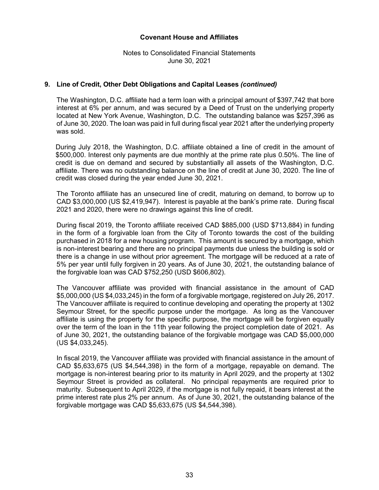Notes to Consolidated Financial Statements June 30, 2021

# **9. Line of Credit, Other Debt Obligations and Capital Leases** *(continued)*

The Washington, D.C. affiliate had a term loan with a principal amount of \$397,742 that bore interest at 6% per annum, and was secured by a Deed of Trust on the underlying property located at New York Avenue, Washington, D.C. The outstanding balance was \$257,396 as of June 30, 2020. The loan was paid in full during fiscal year 2021 after the underlying property was sold.

During July 2018, the Washington, D.C. affiliate obtained a line of credit in the amount of \$500,000. Interest only payments are due monthly at the prime rate plus 0.50%. The line of credit is due on demand and secured by substantially all assets of the Washington, D.C. affiliate. There was no outstanding balance on the line of credit at June 30, 2020. The line of credit was closed during the year ended June 30, 2021.

The Toronto affiliate has an unsecured line of credit, maturing on demand, to borrow up to CAD \$3,000,000 (US \$2,419,947). Interest is payable at the bank's prime rate. During fiscal 2021 and 2020, there were no drawings against this line of credit.

During fiscal 2019, the Toronto affiliate received CAD \$885,000 (USD \$713,884) in funding in the form of a forgivable loan from the City of Toronto towards the cost of the building purchased in 2018 for a new housing program. This amount is secured by a mortgage, which is non-interest bearing and there are no principal payments due unless the building is sold or there is a change in use without prior agreement. The mortgage will be reduced at a rate of 5% per year until fully forgiven in 20 years. As of June 30, 2021, the outstanding balance of the forgivable loan was CAD \$752,250 (USD \$606,802).

The Vancouver affiliate was provided with financial assistance in the amount of CAD \$5,000,000 (US \$4,033,245) in the form of a forgivable mortgage, registered on July 26, 2017. The Vancouver affiliate is required to continue developing and operating the property at 1302 Seymour Street, for the specific purpose under the mortgage. As long as the Vancouver affiliate is using the property for the specific purpose, the mortgage will be forgiven equally over the term of the loan in the 11th year following the project completion date of 2021. As of June 30, 2021, the outstanding balance of the forgivable mortgage was CAD \$5,000,000 (US \$4,033,245).

In fiscal 2019, the Vancouver affiliate was provided with financial assistance in the amount of CAD \$5,633,675 (US \$4,544,398) in the form of a mortgage, repayable on demand. The mortgage is non-interest bearing prior to its maturity in April 2029, and the property at 1302 Seymour Street is provided as collateral. No principal repayments are required prior to maturity. Subsequent to April 2029, if the mortgage is not fully repaid, it bears interest at the prime interest rate plus 2% per annum. As of June 30, 2021, the outstanding balance of the forgivable mortgage was CAD \$5,633,675 (US \$4,544,398).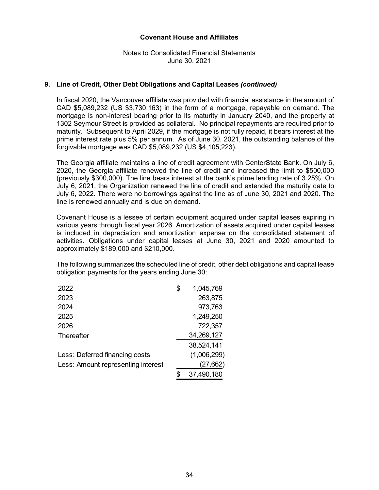Notes to Consolidated Financial Statements June 30, 2021

# **9. Line of Credit, Other Debt Obligations and Capital Leases** *(continued)*

In fiscal 2020, the Vancouver affiliate was provided with financial assistance in the amount of CAD \$5,089,232 (US \$3,730,163) in the form of a mortgage, repayable on demand. The mortgage is non-interest bearing prior to its maturity in January 2040, and the property at 1302 Seymour Street is provided as collateral. No principal repayments are required prior to maturity. Subsequent to April 2029, if the mortgage is not fully repaid, it bears interest at the prime interest rate plus 5% per annum. As of June 30, 2021, the outstanding balance of the forgivable mortgage was CAD \$5,089,232 (US \$4,105,223).

The Georgia affiliate maintains a line of credit agreement with CenterState Bank. On July 6, 2020, the Georgia affiliate renewed the line of credit and increased the limit to \$500,000 (previously \$300,000). The line bears interest at the bank's prime lending rate of 3.25%. On July 6, 2021, the Organization renewed the line of credit and extended the maturity date to July 6, 2022. There were no borrowings against the line as of June 30, 2021 and 2020. The line is renewed annually and is due on demand.

Covenant House is a lessee of certain equipment acquired under capital leases expiring in various years through fiscal year 2026. Amortization of assets acquired under capital leases is included in depreciation and amortization expense on the consolidated statement of activities. Obligations under capital leases at June 30, 2021 and 2020 amounted to approximately \$189,000 and \$210,000.

The following summarizes the scheduled line of credit, other debt obligations and capital lease obligation payments for the years ending June 30:

| 2022                               | \$<br>1,045,769 |
|------------------------------------|-----------------|
| 2023                               | 263,875         |
| 2024                               | 973,763         |
| 2025                               | 1,249,250       |
| 2026                               | 722,357         |
| Thereafter                         | 34,269,127      |
|                                    | 38,524,141      |
| Less: Deferred financing costs     | (1,006,299)     |
| Less: Amount representing interest | (27,662)        |
|                                    | 37,490,180      |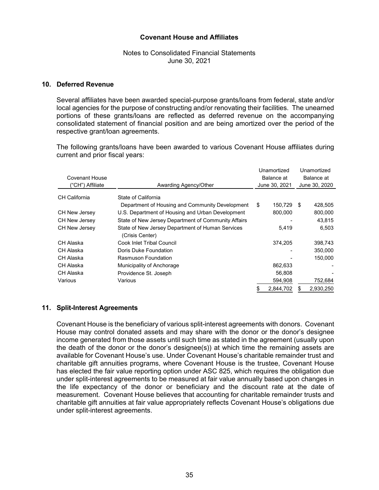# Notes to Consolidated Financial Statements June 30, 2021

#### **10. Deferred Revenue**

Several affiliates have been awarded special-purpose grants/loans from federal, state and/or local agencies for the purpose of constructing and/or renovating their facilities. The unearned portions of these grants/loans are reflected as deferred revenue on the accompanying consolidated statement of financial position and are being amortized over the period of the respective grant/loan agreements.

The following grants/loans have been awarded to various Covenant House affiliates during current and prior fiscal years:

|                       |                                                                     | Unamortized   |    | Unamortized   |
|-----------------------|---------------------------------------------------------------------|---------------|----|---------------|
| <b>Covenant House</b> |                                                                     | Balance at    |    | Balance at    |
| ("CH") Affiliate      | Awarding Agency/Other                                               | June 30, 2021 |    | June 30, 2020 |
| CH California         | State of California                                                 |               |    |               |
|                       | Department of Housing and Community Development                     | \$<br>150,729 | -S | 428,505       |
| <b>CH New Jersey</b>  | U.S. Department of Housing and Urban Development                    | 800,000       |    | 800,000       |
| CH New Jersey         | State of New Jersey Department of Community Affairs                 |               |    | 43,815        |
| <b>CH New Jersey</b>  | State of New Jersey Department of Human Services<br>(Crisis Center) | 5,419         |    | 6,503         |
| CH Alaska             | Cook Inlet Tribal Council                                           | 374.205       |    | 398,743       |
| CH Alaska             | Doris Duke Foundation                                               |               |    | 350,000       |
| CH Alaska             | Rasmuson Foundation                                                 |               |    | 150,000       |
| CH Alaska             | Municipality of Anchorage                                           | 862,633       |    |               |
| CH Alaska             | Providence St. Joseph                                               | 56.808        |    |               |
| Various               | Various                                                             | 594,908       |    | 752,684       |
|                       |                                                                     | 2,844,702     |    | 2.930.250     |

#### **11. Split-Interest Agreements**

Covenant House is the beneficiary of various split-interest agreements with donors. Covenant House may control donated assets and may share with the donor or the donor's designee income generated from those assets until such time as stated in the agreement (usually upon the death of the donor or the donor's designee(s)) at which time the remaining assets are available for Covenant House's use. Under Covenant House's charitable remainder trust and charitable gift annuities programs, where Covenant House is the trustee, Covenant House has elected the fair value reporting option under ASC 825, which requires the obligation due under split-interest agreements to be measured at fair value annually based upon changes in the life expectancy of the donor or beneficiary and the discount rate at the date of measurement. Covenant House believes that accounting for charitable remainder trusts and charitable gift annuities at fair value appropriately reflects Covenant House's obligations due under split-interest agreements.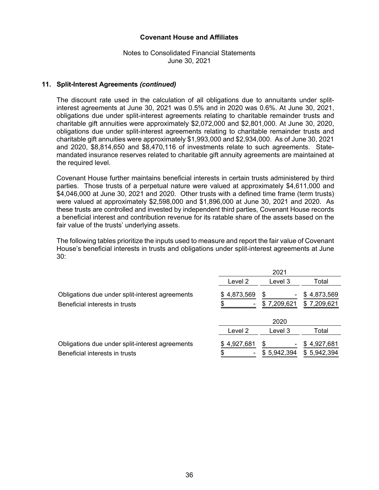Notes to Consolidated Financial Statements June 30, 2021

#### **11. Split-Interest Agreements** *(continued)*

The discount rate used in the calculation of all obligations due to annuitants under splitinterest agreements at June 30, 2021 was 0.5% and in 2020 was 0.6%. At June 30, 2021, obligations due under split-interest agreements relating to charitable remainder trusts and charitable gift annuities were approximately \$2,072,000 and \$2,801,000. At June 30, 2020, obligations due under split-interest agreements relating to charitable remainder trusts and charitable gift annuities were approximately \$1,993,000 and \$2,934,000. As of June 30, 2021 and 2020, \$8,814,650 and \$8,470,116 of investments relate to such agreements. Statemandated insurance reserves related to charitable gift annuity agreements are maintained at the required level.

Covenant House further maintains beneficial interests in certain trusts administered by third parties. Those trusts of a perpetual nature were valued at approximately \$4,611,000 and \$4,046,000 at June 30, 2021 and 2020. Other trusts with a defined time frame (term trusts) were valued at approximately \$2,598,000 and \$1,896,000 at June 30, 2021 and 2020. As these trusts are controlled and invested by independent third parties, Covenant House records a beneficial interest and contribution revenue for its ratable share of the assets based on the fair value of the trusts' underlying assets.

The following tables prioritize the inputs used to measure and report the fair value of Covenant House's beneficial interests in trusts and obligations under split-interest agreements at June 30:

|                                                                                   | 2021      |                  |                               |
|-----------------------------------------------------------------------------------|-----------|------------------|-------------------------------|
|                                                                                   | Level 2   | Level 3          | Total                         |
| Obligations due under split-interest agreements<br>Beneficial interests in trusts | 4,873,569 | S<br>\$7,209,621 | 4,873,569<br>S<br>\$7,209,621 |
|                                                                                   |           | 2020             |                               |
|                                                                                   | Level 2   | Level 3          | Total                         |
| Obligations due under split-interest agreements                                   | 4,927,681 | \$               | 4,927,681<br>S.               |
| Beneficial interests in trusts                                                    |           | \$5,942,394      | \$5,942,394                   |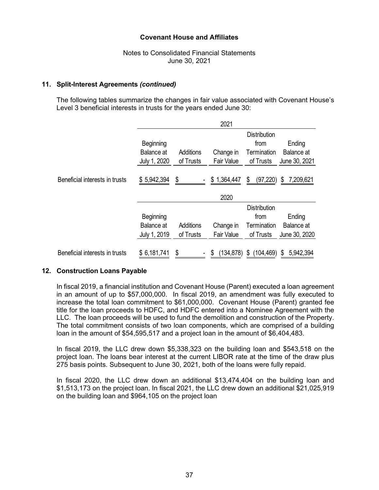Notes to Consolidated Financial Statements June 30, 2021

#### **11. Split-Interest Agreements** *(continued)*

The following tables summarize the changes in fair value associated with Covenant House's Level 3 beneficial interests in trusts for the years ended June 30:

|                                |                   |           | 2021              |                     |                 |
|--------------------------------|-------------------|-----------|-------------------|---------------------|-----------------|
|                                |                   |           |                   | <b>Distribution</b> |                 |
|                                | <b>Beginning</b>  |           |                   | from                | Ending          |
|                                | <b>Balance</b> at | Additions | Change in         | Termination         | Balance at      |
|                                | July 1, 2020      | of Trusts | <b>Fair Value</b> | of Trusts           | June 30, 2021   |
|                                |                   |           |                   |                     |                 |
| Beneficial interests in trusts | \$5,942,394       | \$        | \$1,364,447       | (97, 220)<br>\$     | 7,209,621<br>\$ |
|                                |                   |           |                   |                     |                 |
|                                |                   |           | 2020              |                     |                 |
|                                |                   |           |                   | <b>Distribution</b> |                 |
|                                | <b>Beginning</b>  |           |                   | from                | Ending          |
|                                | Balance at        | Additions | Change in         | Termination         | Balance at      |
|                                | July 1, 2019      | of Trusts | <b>Fair Value</b> | of Trusts           | June 30, 2020   |
|                                |                   |           |                   |                     |                 |
| Beneficial interests in trusts | \$6,181,741       | \$        | (134, 878)<br>\$  | \$<br>(104, 469)    | \$<br>5,942,394 |

#### **12. Construction Loans Payable**

In fiscal 2019, a financial institution and Covenant House (Parent) executed a loan agreement in an amount of up to \$57,000,000. In fiscal 2019, an amendment was fully executed to increase the total loan commitment to \$61,000,000. Covenant House (Parent) granted fee title for the loan proceeds to HDFC, and HDFC entered into a Nominee Agreement with the LLC. The loan proceeds will be used to fund the demolition and construction of the Property. The total commitment consists of two loan components, which are comprised of a building loan in the amount of \$54,595,517 and a project loan in the amount of \$6,404,483.

In fiscal 2019, the LLC drew down \$5,338,323 on the building loan and \$543,518 on the project loan. The loans bear interest at the current LIBOR rate at the time of the draw plus 275 basis points. Subsequent to June 30, 2021, both of the loans were fully repaid.

In fiscal 2020, the LLC drew down an additional \$13,474,404 on the building loan and \$1,513,173 on the project loan. In fiscal 2021, the LLC drew down an additional \$21,025,919 on the building loan and \$964,105 on the project loan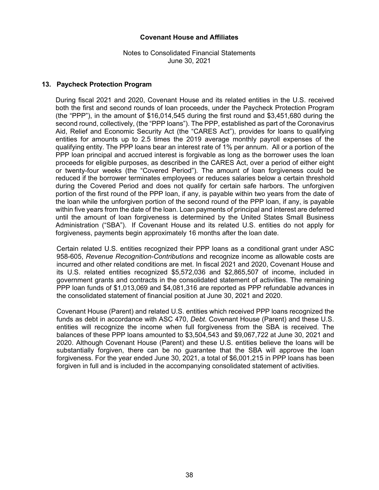Notes to Consolidated Financial Statements June 30, 2021

#### **13. Paycheck Protection Program**

During fiscal 2021 and 2020, Covenant House and its related entities in the U.S. received both the first and second rounds of loan proceeds, under the Paycheck Protection Program (the "PPP"), in the amount of \$16,014,545 during the first round and \$3,451,680 during the second round, collectively, (the "PPP loans"). The PPP, established as part of the Coronavirus Aid, Relief and Economic Security Act (the "CARES Act"), provides for loans to qualifying entities for amounts up to 2.5 times the 2019 average monthly payroll expenses of the qualifying entity. The PPP loans bear an interest rate of 1% per annum. All or a portion of the PPP loan principal and accrued interest is forgivable as long as the borrower uses the loan proceeds for eligible purposes, as described in the CARES Act, over a period of either eight or twenty-four weeks (the "Covered Period"). The amount of loan forgiveness could be reduced if the borrower terminates employees or reduces salaries below a certain threshold during the Covered Period and does not qualify for certain safe harbors. The unforgiven portion of the first round of the PPP loan, if any, is payable within two years from the date of the loan while the unforgiven portion of the second round of the PPP loan, if any, is payable within five years from the date of the loan. Loan payments of principal and interest are deferred until the amount of loan forgiveness is determined by the United States Small Business Administration ("SBA"). If Covenant House and its related U.S. entities do not apply for forgiveness, payments begin approximately 16 months after the loan date.

Certain related U.S. entities recognized their PPP loans as a conditional grant under ASC 958-605, *Revenue Recognition-Contributions* and recognize income as allowable costs are incurred and other related conditions are met. In fiscal 2021 and 2020, Covenant House and its U.S. related entities recognized \$5,572,036 and \$2,865,507 of income, included in government grants and contracts in the consolidated statement of activities. The remaining PPP loan funds of \$1,013,069 and \$4,081,316 are reported as PPP refundable advances in the consolidated statement of financial position at June 30, 2021 and 2020.

Covenant House (Parent) and related U.S. entities which received PPP loans recognized the funds as debt in accordance with ASC 470, *Debt*. Covenant House (Parent) and these U.S. entities will recognize the income when full forgiveness from the SBA is received. The balances of these PPP loans amounted to \$3,504,543 and \$9,067,722 at June 30, 2021 and 2020. Although Covenant House (Parent) and these U.S. entities believe the loans will be substantially forgiven, there can be no guarantee that the SBA will approve the loan forgiveness. For the year ended June 30, 2021, a total of \$6,001,215 in PPP loans has been forgiven in full and is included in the accompanying consolidated statement of activities.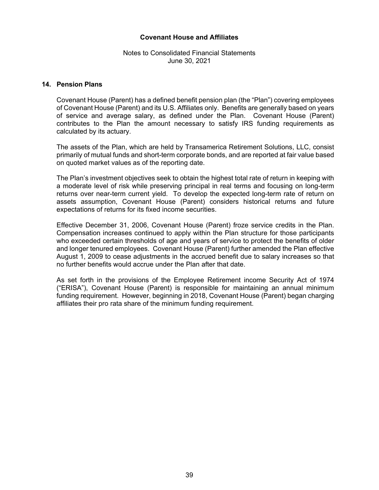Notes to Consolidated Financial Statements June 30, 2021

#### **14. Pension Plans**

Covenant House (Parent) has a defined benefit pension plan (the "Plan") covering employees of Covenant House (Parent) and its U.S. Affiliates only. Benefits are generally based on years of service and average salary, as defined under the Plan. Covenant House (Parent) contributes to the Plan the amount necessary to satisfy IRS funding requirements as calculated by its actuary.

The assets of the Plan, which are held by Transamerica Retirement Solutions, LLC, consist primarily of mutual funds and short-term corporate bonds, and are reported at fair value based on quoted market values as of the reporting date.

The Plan's investment objectives seek to obtain the highest total rate of return in keeping with a moderate level of risk while preserving principal in real terms and focusing on long-term returns over near-term current yield. To develop the expected long-term rate of return on assets assumption, Covenant House (Parent) considers historical returns and future expectations of returns for its fixed income securities.

Effective December 31, 2006, Covenant House (Parent) froze service credits in the Plan. Compensation increases continued to apply within the Plan structure for those participants who exceeded certain thresholds of age and years of service to protect the benefits of older and longer tenured employees. Covenant House (Parent) further amended the Plan effective August 1, 2009 to cease adjustments in the accrued benefit due to salary increases so that no further benefits would accrue under the Plan after that date.

As set forth in the provisions of the Employee Retirement income Security Act of 1974 ("ERISA"), Covenant House (Parent) is responsible for maintaining an annual minimum funding requirement. However, beginning in 2018, Covenant House (Parent) began charging affiliates their pro rata share of the minimum funding requirement.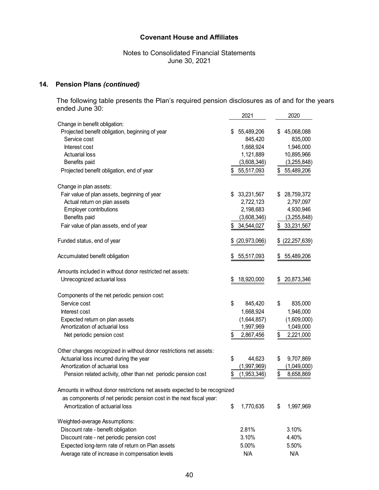Notes to Consolidated Financial Statements June 30, 2021

# **14. Pension Plans** *(continued)*

The following table presents the Plan's required pension disclosures as of and for the years ended June 30: 2021 2020

|                                                                            | 2021              | 2020             |
|----------------------------------------------------------------------------|-------------------|------------------|
| Change in benefit obligation:                                              |                   |                  |
| Projected benefit obligation, beginning of year                            | 55,489,206<br>\$  | 45,068,088<br>\$ |
| Service cost                                                               | 845,420           | 835,000          |
| Interest cost                                                              | 1,668,924         | 1,946,000        |
| <b>Actuarial loss</b>                                                      | 1,121,889         | 10,895,966       |
| Benefits paid                                                              | (3,608,346)       | (3,255,848)      |
| Projected benefit obligation, end of year                                  | \$<br>55,517,093  | \$55,489,206     |
| Change in plan assets:                                                     |                   |                  |
| Fair value of plan assets, beginning of year                               | \$33,231,567      | \$28,759,372     |
| Actual return on plan assets                                               | 2,722,123         | 2,797,097        |
| <b>Employer contributions</b>                                              | 2,198,683         | 4,930,946        |
| Benefits paid                                                              | (3,608,346)       | (3,255,848)      |
| Fair value of plan assets, end of year                                     | 34,544,027<br>\$  | \$<br>33,231,567 |
| Funded status, end of year                                                 | (20, 973, 066)    | (22, 257, 639)   |
|                                                                            |                   |                  |
| Accumulated benefit obligation                                             | 55,517,093<br>\$  | 55,489,206<br>\$ |
| Amounts included in without donor restricted net assets:                   |                   |                  |
| Unrecognized actuarial loss                                                | 18,920,000<br>\$  | 20,873,346<br>\$ |
| Components of the net periodic pension cost:                               |                   |                  |
| Service cost                                                               | \$<br>845,420     | \$<br>835,000    |
| Interest cost                                                              | 1,668,924         | 1,946,000        |
| Expected return on plan assets                                             | (1,644,857)       | (1,609,000)      |
| Amortization of actuarial loss                                             | 1,997,969         | 1,049,000        |
| Net periodic pension cost                                                  | \$<br>2,867,456   | \$<br>2,221,000  |
| Other changes recognized in without donor restrictions net assets:         |                   |                  |
| Actuarial loss incurred during the year                                    | \$<br>44,623      | \$<br>9,707,869  |
| Amortization of actuarial loss                                             | (1,997,969)       | (1,049,000)      |
| Pension related activity, other than net periodic pension cost             | \$<br>(1,953,346) | \$<br>8,658,869  |
| Amounts in without donor restrictions net assets expected to be recognized |                   |                  |
| as components of net periodic pension cost in the next fiscal year:        |                   |                  |
| Amortization of actuarial loss                                             | \$<br>1,770,635   | 1,997,969<br>\$  |
|                                                                            |                   |                  |
| Weighted-average Assumptions:                                              |                   |                  |
| Discount rate - benefit obligation                                         | 2.81%             | 3.10%            |
| Discount rate - net periodic pension cost                                  | 3.10%             | 4.40%            |
| Expected long-term rate of return on Plan assets                           | 5.00%             | 5.50%            |
| Average rate of increase in compensation levels                            | N/A               | N/A              |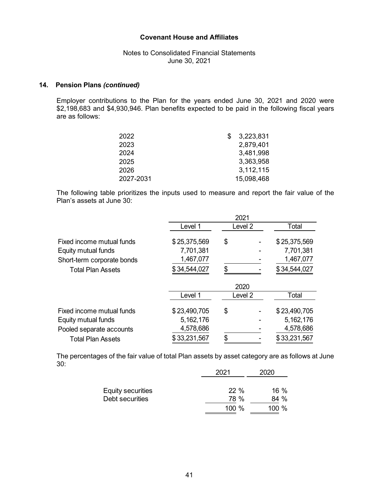### Notes to Consolidated Financial Statements June 30, 2021

# **14. Pension Plans** *(continued)*

Employer contributions to the Plan for the years ended June 30, 2021 and 2020 were \$2,198,683 and \$4,930,946. Plan benefits expected to be paid in the following fiscal years are as follows:

| 3,223,831  |
|------------|
| 2,879,401  |
| 3,481,998  |
| 3,363,958  |
| 3,112,115  |
|            |
| 15,098,468 |

The following table prioritizes the inputs used to measure and report the fair value of the Plan's assets at June 30:

|                            |              | 2021    |              |
|----------------------------|--------------|---------|--------------|
|                            | Level 1      | Level 2 | Total        |
| Fixed income mutual funds  | \$25,375,569 | \$      | \$25,375,569 |
| Equity mutual funds        | 7,701,381    |         | 7,701,381    |
| Short-term corporate bonds | 1,467,077    |         | 1,467,077    |
| <b>Total Plan Assets</b>   | \$34,544,027 | \$      | \$34,544,027 |
|                            |              | 2020    |              |
|                            | Level 1      | Level 2 | Total        |
| Fixed income mutual funds  | \$23,490,705 | \$      | \$23,490,705 |
| Equity mutual funds        | 5,162,176    |         | 5, 162, 176  |
| Pooled separate accounts   | 4,578,686    |         | 4,578,686    |
| <b>Total Plan Assets</b>   | \$33,231,567 |         | \$33,231,567 |

The percentages of the fair value of total Plan assets by asset category are as follows at June 30:

|                                      | 2021        | 2020           |
|--------------------------------------|-------------|----------------|
| Equity securities<br>Debt securities | 22%<br>78 % | $16\%$<br>84 % |
|                                      | 100 $%$     | 100 $%$        |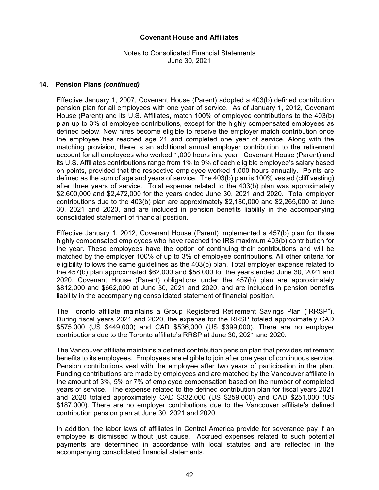# Notes to Consolidated Financial Statements June 30, 2021

#### **14. Pension Plans** *(continued)*

Effective January 1, 2007, Covenant House (Parent) adopted a 403(b) defined contribution pension plan for all employees with one year of service. As of January 1, 2012, Covenant House (Parent) and its U.S. Affiliates, match 100% of employee contributions to the 403(b) plan up to 3% of employee contributions, except for the highly compensated employees as defined below. New hires become eligible to receive the employer match contribution once the employee has reached age 21 and completed one year of service. Along with the matching provision, there is an additional annual employer contribution to the retirement account for all employees who worked 1,000 hours in a year. Covenant House (Parent) and its U.S. Affiliates contributions range from 1% to 9% of each eligible employee's salary based on points, provided that the respective employee worked 1,000 hours annually. Points are defined as the sum of age and years of service. The 403(b) plan is 100% vested (cliff vesting) after three years of service. Total expense related to the 403(b) plan was approximately \$2,600,000 and \$2,472,000 for the years ended June 30, 2021 and 2020. Total employer contributions due to the 403(b) plan are approximately \$2,180,000 and \$2,265,000 at June 30, 2021 and 2020, and are included in pension benefits liability in the accompanying consolidated statement of financial position.

Effective January 1, 2012, Covenant House (Parent) implemented a 457(b) plan for those highly compensated employees who have reached the IRS maximum 403(b) contribution for the year. These employees have the option of continuing their contributions and will be matched by the employer 100% of up to 3% of employee contributions. All other criteria for eligibility follows the same guidelines as the 403(b) plan. Total employer expense related to the 457(b) plan approximated \$62,000 and \$58,000 for the years ended June 30, 2021 and 2020. Covenant House (Parent) obligations under the 457(b) plan are approximately \$812,000 and \$662,000 at June 30, 2021 and 2020, and are included in pension benefits liability in the accompanying consolidated statement of financial position.

The Toronto affiliate maintains a Group Registered Retirement Savings Plan ("RRSP"). During fiscal years 2021 and 2020, the expense for the RRSP totaled approximately CAD \$575,000 (US \$449,000) and CAD \$536,000 (US \$399,000). There are no employer contributions due to the Toronto affiliate's RRSP at June 30, 2021 and 2020.

The Vancouver affiliate maintains a defined contribution pension plan that provides retirement benefits to its employees. Employees are eligible to join after one year of continuous service. Pension contributions vest with the employee after two years of participation in the plan. Funding contributions are made by employees and are matched by the Vancouver affiliate in the amount of 3%, 5% or 7% of employee compensation based on the number of completed years of service. The expense related to the defined contribution plan for fiscal years 2021 and 2020 totaled approximately CAD \$332,000 (US \$259,000) and CAD \$251,000 (US \$187,000). There are no employer contributions due to the Vancouver affiliate's defined contribution pension plan at June 30, 2021 and 2020.

In addition, the labor laws of affiliates in Central America provide for severance pay if an employee is dismissed without just cause. Accrued expenses related to such potential payments are determined in accordance with local statutes and are reflected in the accompanying consolidated financial statements.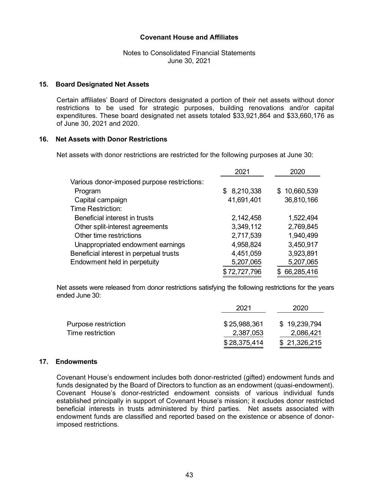Notes to Consolidated Financial Statements June 30, 2021

#### **15. Board Designated Net Assets**

Certain affiliates' Board of Directors designated a portion of their net assets without donor restrictions to be used for strategic purposes, building renovations and/or capital expenditures. These board designated net assets totaled \$33,921,864 and \$33,660,176 as of June 30, 2021 and 2020.

#### **16. Net Assets with Donor Restrictions**

Net assets with donor restrictions are restricted for the following purposes at June 30:

|                                             | 2021         | 2020             |
|---------------------------------------------|--------------|------------------|
| Various donor-imposed purpose restrictions: |              |                  |
| Program                                     | \$8,210,338  | 10,660,539<br>S. |
| Capital campaign                            | 41,691,401   | 36,810,166       |
| <b>Time Restriction:</b>                    |              |                  |
| Beneficial interest in trusts               | 2,142,458    | 1,522,494        |
| Other split-interest agreements             | 3,349,112    | 2,769,845        |
| Other time restrictions                     | 2,717,539    | 1,940,499        |
| Unappropriated endowment earnings           | 4,958,824    | 3,450,917        |
| Beneficial interest in perpetual trusts     | 4,451,059    | 3,923,891        |
| Endowment held in perpetuity                | 5,207,065    | 5,207,065        |
|                                             | \$72,727,796 | 66,285,416       |

Net assets were released from donor restrictions satisfying the following restrictions for the years ended June 30:

|                     | 2021         | 2020         |  |  |
|---------------------|--------------|--------------|--|--|
| Purpose restriction | \$25,988,361 | \$19,239,794 |  |  |
| Time restriction    | 2,387,053    | 2,086,421    |  |  |
|                     | \$28,375,414 | \$21,326,215 |  |  |

#### **17. Endowments**

Covenant House's endowment includes both donor-restricted (gifted) endowment funds and funds designated by the Board of Directors to function as an endowment (quasi-endowment). Covenant House's donor-restricted endowment consists of various individual funds established principally in support of Covenant House's mission; it excludes donor restricted beneficial interests in trusts administered by third parties. Net assets associated with endowment funds are classified and reported based on the existence or absence of donorimposed restrictions.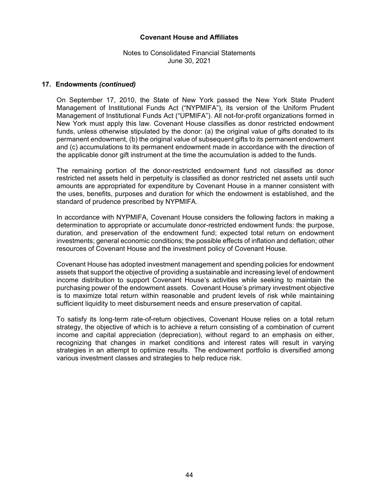# Notes to Consolidated Financial Statements June 30, 2021

#### **17. Endowments** *(continued)*

On September 17, 2010, the State of New York passed the New York State Prudent Management of Institutional Funds Act ("NYPMIFA"), its version of the Uniform Prudent Management of Institutional Funds Act ("UPMIFA"). All not-for-profit organizations formed in New York must apply this law. Covenant House classifies as donor restricted endowment funds, unless otherwise stipulated by the donor: (a) the original value of gifts donated to its permanent endowment, (b) the original value of subsequent gifts to its permanent endowment and (c) accumulations to its permanent endowment made in accordance with the direction of the applicable donor gift instrument at the time the accumulation is added to the funds.

The remaining portion of the donor-restricted endowment fund not classified as donor restricted net assets held in perpetuity is classified as donor restricted net assets until such amounts are appropriated for expenditure by Covenant House in a manner consistent with the uses, benefits, purposes and duration for which the endowment is established, and the standard of prudence prescribed by NYPMIFA.

In accordance with NYPMIFA, Covenant House considers the following factors in making a determination to appropriate or accumulate donor-restricted endowment funds: the purpose, duration, and preservation of the endowment fund; expected total return on endowment investments; general economic conditions; the possible effects of inflation and deflation; other resources of Covenant House and the investment policy of Covenant House.

Covenant House has adopted investment management and spending policies for endowment assets that support the objective of providing a sustainable and increasing level of endowment income distribution to support Covenant House's activities while seeking to maintain the purchasing power of the endowment assets. Covenant House's primary investment objective is to maximize total return within reasonable and prudent levels of risk while maintaining sufficient liquidity to meet disbursement needs and ensure preservation of capital.

To satisfy its long-term rate-of-return objectives, Covenant House relies on a total return strategy, the objective of which is to achieve a return consisting of a combination of current income and capital appreciation (depreciation), without regard to an emphasis on either, recognizing that changes in market conditions and interest rates will result in varying strategies in an attempt to optimize results. The endowment portfolio is diversified among various investment classes and strategies to help reduce risk.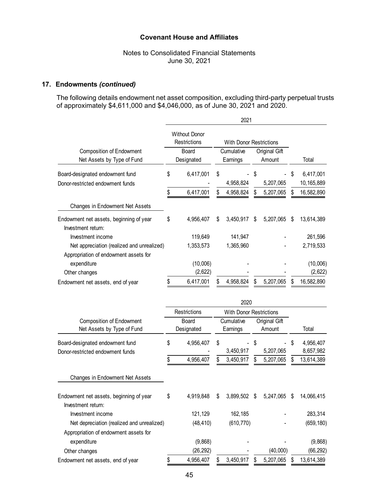# Notes to Consolidated Financial Statements June 30, 2021

# **17. Endowments** *(continued)*

The following details endowment net asset composition, excluding third-party perpetual trusts of approximately \$4,611,000 and \$4,046,000, as of June 30, 2021 and 2020.

|                                                                                     | 2021 |                                      |    |                                |    |               |    |                        |
|-------------------------------------------------------------------------------------|------|--------------------------------------|----|--------------------------------|----|---------------|----|------------------------|
|                                                                                     |      | <b>Without Donor</b><br>Restrictions |    | <b>With Donor Restrictions</b> |    |               |    |                        |
| <b>Composition of Endowment</b><br>Net Assets by Type of Fund                       |      | Board                                |    | Cumulative                     |    | Original Gift |    |                        |
|                                                                                     |      | Designated                           |    | Earnings                       |    | Amount        |    | Total                  |
| Board-designated endowment fund                                                     | \$   | 6,417,001                            | \$ |                                | \$ |               | \$ | 6,417,001              |
| Donor-restricted endowment funds                                                    |      |                                      |    | 4,958,824                      |    | 5,207,065     |    | 10,165,889             |
|                                                                                     | \$   | 6,417,001                            | \$ | 4,958,824                      | \$ | 5,207,065     | \$ | 16,582,890             |
| Changes in Endowment Net Assets                                                     |      |                                      |    |                                |    |               |    |                        |
| Endowment net assets, beginning of year<br>Investment return:                       | \$   | 4,956,407                            | \$ | 3,450,917 \$                   |    | 5,207,065     | \$ | 13,614,389             |
| Investment income                                                                   |      | 119,649                              |    | 141,947                        |    |               |    | 261,596                |
| Net appreciation (realized and unrealized)<br>Appropriation of endowment assets for |      | 1,353,573                            |    | 1,365,960                      |    |               |    | 2,719,533              |
| expenditure                                                                         |      | (10,006)                             |    |                                |    |               |    | (10,006)               |
| Other changes                                                                       |      | (2,622)                              |    |                                |    |               |    | (2,622)                |
| Endowment net assets, end of year                                                   | \$   | 6,417,001                            | \$ | 4,958,824                      | \$ | 5,207,065     | \$ | 16,582,890             |
|                                                                                     |      |                                      |    | 2020                           |    |               |    |                        |
|                                                                                     |      | Restrictions                         |    | <b>With Donor Restrictions</b> |    |               |    |                        |
| <b>Composition of Endowment</b>                                                     |      | Board                                |    | Cumulative                     |    | Original Gift |    |                        |
| Net Assets by Type of Fund                                                          |      | Designated                           |    | Earnings                       |    | Amount        |    | Total                  |
| Board-designated endowment fund<br>Donor-restricted endowment funds                 | \$   | 4,956,407                            | \$ | 3,450,917                      | \$ | 5,207,065     | \$ | 4,956,407<br>8,657,982 |
|                                                                                     | \$   | 4,956,407                            | \$ | 3,450,917                      | \$ | 5,207,065     | \$ | 13,614,389             |
| Changes in Endowment Net Assets                                                     |      |                                      |    |                                |    |               |    |                        |
|                                                                                     |      |                                      |    |                                |    |               |    |                        |
| Endowment net assets, beginning of year                                             | \$   | 4,919,848                            | \$ | 3,899,502 \$                   |    | 5,247,065     | \$ | 14,066,415             |
| Investment return:                                                                  |      |                                      |    |                                |    |               |    |                        |
| Investment income                                                                   |      | 121,129                              |    | 162,185                        |    |               |    | 283,314                |
| Net depreciation (realized and unrealized)                                          |      | (48, 410)                            |    | (610, 770)                     |    |               |    | (659, 180)             |
| Appropriation of endowment assets for                                               |      |                                      |    |                                |    |               |    |                        |
| expenditure                                                                         |      | (9,868)                              |    |                                |    |               |    | (9,868)                |
| Other changes                                                                       |      | (26, 292)                            |    |                                |    | (40,000)      |    | (66, 292)              |

Endowment net assets, end of year  $$ 4,956,407 $ 3,450,917 $ 5,207,065 $ 13,614,389$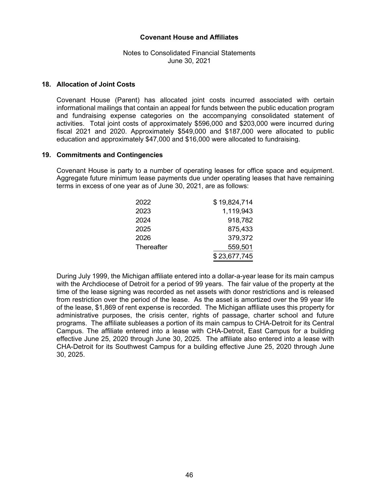# Notes to Consolidated Financial Statements June 30, 2021

#### **18. Allocation of Joint Costs**

Covenant House (Parent) has allocated joint costs incurred associated with certain informational mailings that contain an appeal for funds between the public education program and fundraising expense categories on the accompanying consolidated statement of activities. Total joint costs of approximately \$596,000 and \$203,000 were incurred during fiscal 2021 and 2020. Approximately \$549,000 and \$187,000 were allocated to public education and approximately \$47,000 and \$16,000 were allocated to fundraising.

#### **19. Commitments and Contingencies**

Covenant House is party to a number of operating leases for office space and equipment. Aggregate future minimum lease payments due under operating leases that have remaining terms in excess of one year as of June 30, 2021, are as follows:

| 2022       | \$19,824,714 |
|------------|--------------|
| 2023       | 1,119,943    |
| 2024       | 918,782      |
| 2025       | 875,433      |
| 2026       | 379,372      |
| Thereafter | 559,501      |
|            | \$23,677,745 |

During July 1999, the Michigan affiliate entered into a dollar-a-year lease for its main campus with the Archdiocese of Detroit for a period of 99 years. The fair value of the property at the time of the lease signing was recorded as net assets with donor restrictions and is released from restriction over the period of the lease. As the asset is amortized over the 99 year life of the lease, \$1,869 of rent expense is recorded. The Michigan affiliate uses this property for administrative purposes, the crisis center, rights of passage, charter school and future programs. The affiliate subleases a portion of its main campus to CHA-Detroit for its Central Campus. The affiliate entered into a lease with CHA-Detroit, East Campus for a building effective June 25, 2020 through June 30, 2025. The affiliate also entered into a lease with CHA-Detroit for its Southwest Campus for a building effective June 25, 2020 through June 30, 2025.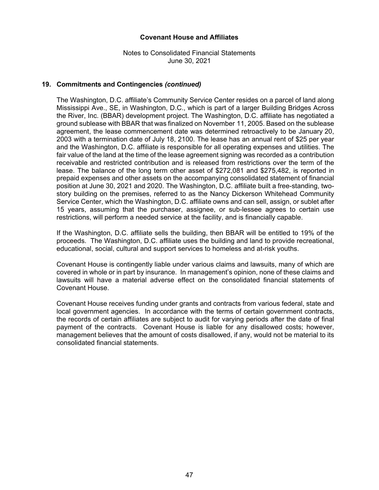Notes to Consolidated Financial Statements June 30, 2021

### **19. Commitments and Contingencies** *(continued)*

The Washington, D.C. affiliate's Community Service Center resides on a parcel of land along Mississippi Ave., SE, in Washington, D.C., which is part of a larger Building Bridges Across the River, Inc. (BBAR) development project. The Washington, D.C. affiliate has negotiated a ground sublease with BBAR that was finalized on November 11, 2005. Based on the sublease agreement, the lease commencement date was determined retroactively to be January 20, 2003 with a termination date of July 18, 2100. The lease has an annual rent of \$25 per year and the Washington, D.C. affiliate is responsible for all operating expenses and utilities. The fair value of the land at the time of the lease agreement signing was recorded as a contribution receivable and restricted contribution and is released from restrictions over the term of the lease. The balance of the long term other asset of \$272,081 and \$275,482, is reported in prepaid expenses and other assets on the accompanying consolidated statement of financial position at June 30, 2021 and 2020. The Washington, D.C. affiliate built a free-standing, twostory building on the premises, referred to as the Nancy Dickerson Whitehead Community Service Center, which the Washington, D.C. affiliate owns and can sell, assign, or sublet after 15 years, assuming that the purchaser, assignee, or sub-lessee agrees to certain use restrictions, will perform a needed service at the facility, and is financially capable.

If the Washington, D.C. affiliate sells the building, then BBAR will be entitled to 19% of the proceeds. The Washington, D.C. affiliate uses the building and land to provide recreational, educational, social, cultural and support services to homeless and at-risk youths.

Covenant House is contingently liable under various claims and lawsuits, many of which are covered in whole or in part by insurance. In management's opinion, none of these claims and lawsuits will have a material adverse effect on the consolidated financial statements of Covenant House.

Covenant House receives funding under grants and contracts from various federal, state and local government agencies. In accordance with the terms of certain government contracts, the records of certain affiliates are subject to audit for varying periods after the date of final payment of the contracts. Covenant House is liable for any disallowed costs; however, management believes that the amount of costs disallowed, if any, would not be material to its consolidated financial statements.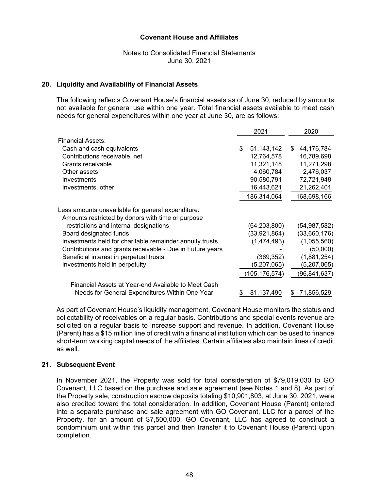### Notes to Consolidated Financial Statements June 30, 2021

#### **20. Liquidity and Availability of Financial Assets**

The following reflects Covenant House's financial assets as of June 30, reduced by amounts not available for general use within one year. Total financial assets available to meet cash needs for general expenditures within one year at June 30, are as follows:

|                                                                                                        | 2021 |                |    | 2020           |
|--------------------------------------------------------------------------------------------------------|------|----------------|----|----------------|
| Financial Assets:                                                                                      |      |                |    |                |
| Cash and cash equivalents                                                                              | \$   | 51,143,142     | \$ | 44,176,784     |
| Contributions receivable, net                                                                          |      | 12,764,578     |    | 16,789,698     |
| Grants receivable                                                                                      |      | 11,321,148     |    | 11,271,298     |
| Other assets                                                                                           |      | 4,060,784      |    | 2,476,037      |
| Investments                                                                                            |      | 90,580,791     |    | 72,721,948     |
| Investments, other                                                                                     |      | 16,443,621     |    | 21,262,401     |
|                                                                                                        |      | 186,314,064    |    | 168,698,166    |
| Less amounts unavailable for general expenditure:<br>Amounts restricted by donors with time or purpose |      |                |    |                |
| restrictions and internal designations                                                                 |      | (64, 203, 800) |    | (54, 987, 582) |
| Board designated funds                                                                                 |      | (33,921,864)   |    | (33,660,176)   |
| Investments held for charitable remainder annuity trusts                                               |      | (1,474,493)    |    | (1,055,560)    |
| Contributions and grants receivable - Due in Future years                                              |      |                |    | (50,000)       |
| Beneficial interest in perpetual trusts                                                                |      | (369, 352)     |    | (1,881,254)    |
| Investments held in perpetuity                                                                         |      | (5,207,065)    |    | (5,207,065)    |
|                                                                                                        |      | 105,176,574)   |    | (96,841,637)   |
| Financial Assets at Year-end Available to Meet Cash                                                    |      |                |    |                |
| Needs for General Expenditures Within One Year                                                         |      | 81,137,490     | S  | 71,856,529     |

As part of Covenant House's liquidity management, Covenant House monitors the status and collectability of receivables on a regular basis. Contributions and special events revenue are solicited on a regular basis to increase support and revenue. In addition, Covenant House (Parent) has a \$15 million line of credit with a financial institution which can be used to finance short-term working capital needs of the affiliates. Certain affiliates also maintain lines of credit as well.

#### **21. Subsequent Event**

In November 2021, the Property was sold for total consideration of \$79,019,030 to GO Covenant, LLC based on the purchase and sale agreement (see Notes 1 and 8). As part of the Property sale, construction escrow deposits totaling \$10,901,803, at June 30, 2021, were also credited toward the total consideration. In addition, Covenant House (Parent) entered into a separate purchase and sale agreement with GO Covenant, LLC for a parcel of the Property, for an amount of \$7,500,000. GO Covenant, LLC has agreed to construct a condominium unit within this parcel and then transfer it to Covenant House (Parent) upon completion.